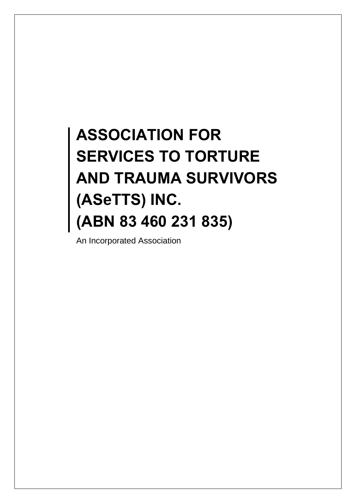# **ASSOCIATION FOR SERVICES TO TORTURE AND TRAUMA SURVIVORS (ASeTTS) INC. (ABN 83 460 231 835)**

An Incorporated Association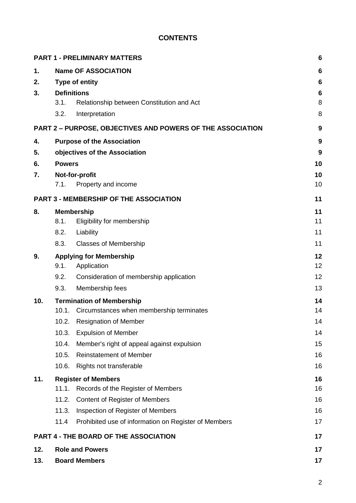# **CONTENTS**

|     |                    | <b>PART 1 - PRELIMINARY MATTERS</b>                        | 6  |
|-----|--------------------|------------------------------------------------------------|----|
| 1.  |                    | <b>Name OF ASSOCIATION</b>                                 | 6  |
| 2.  |                    | <b>Type of entity</b>                                      | 6  |
| 3.  | <b>Definitions</b> |                                                            | 6  |
|     | 3.1.               | Relationship between Constitution and Act                  | 8  |
|     | 3.2.               | Interpretation                                             | 8  |
|     |                    | PART 2 - PURPOSE, OBJECTIVES AND POWERS OF THE ASSOCIATION | 9  |
| 4.  |                    | <b>Purpose of the Association</b>                          | 9  |
| 5.  |                    | objectives of the Association                              | 9  |
| 6.  | <b>Powers</b>      |                                                            | 10 |
| 7.  |                    | Not-for-profit                                             | 10 |
|     | 7.1.               | Property and income                                        | 10 |
|     |                    | PART 3 - MEMBERSHIP OF THE ASSOCIATION                     | 11 |
| 8.  |                    | <b>Membership</b>                                          | 11 |
|     | 8.1.               | Eligibility for membership                                 | 11 |
|     | 8.2.               | Liability                                                  | 11 |
|     | 8.3.               | <b>Classes of Membership</b>                               | 11 |
| 9.  |                    | <b>Applying for Membership</b>                             | 12 |
|     | 9.1.               | Application                                                | 12 |
|     | 9.2.               | Consideration of membership application                    | 12 |
|     | 9.3.               | Membership fees                                            | 13 |
| 10. |                    | <b>Termination of Membership</b>                           | 14 |
|     | 10.1.              | Circumstances when membership terminates                   | 14 |
|     | 10.2.              | <b>Resignation of Member</b>                               | 14 |
|     | 10.3.              | <b>Expulsion of Member</b>                                 | 14 |
|     | 10.4.              | Member's right of appeal against expulsion                 | 15 |
|     | 10.5.              | <b>Reinstatement of Member</b>                             | 16 |
|     | 10.6.              | Rights not transferable                                    | 16 |
| 11. |                    | <b>Register of Members</b>                                 | 16 |
|     | 11.1.              | Records of the Register of Members                         | 16 |
|     | 11.2.              | Content of Register of Members                             | 16 |
|     | 11.3.              | Inspection of Register of Members                          | 16 |
|     | 11.4               | Prohibited use of information on Register of Members       | 17 |
|     |                    | <b>PART 4 - THE BOARD OF THE ASSOCIATION</b>               | 17 |
| 12. |                    | <b>Role and Powers</b>                                     | 17 |
| 13. |                    | <b>Board Members</b>                                       | 17 |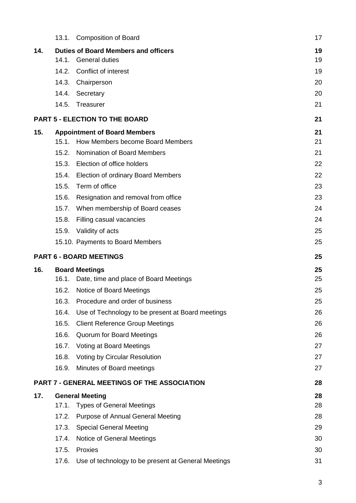|     | 13.1. | <b>Composition of Board</b>                         | 17 |
|-----|-------|-----------------------------------------------------|----|
| 14. |       | <b>Duties of Board Members and officers</b>         | 19 |
|     | 14.1. | <b>General duties</b>                               | 19 |
|     | 14.2. | Conflict of interest                                | 19 |
|     | 14.3. | Chairperson                                         | 20 |
|     | 14.4. | Secretary                                           | 20 |
|     | 14.5. | Treasurer                                           | 21 |
|     |       | <b>PART 5 - ELECTION TO THE BOARD</b>               | 21 |
| 15. |       | <b>Appointment of Board Members</b>                 | 21 |
|     | 15.1. | How Members become Board Members                    | 21 |
|     | 15.2. | <b>Nomination of Board Members</b>                  | 21 |
|     | 15.3. | Election of office holders                          | 22 |
|     | 15.4. | <b>Election of ordinary Board Members</b>           | 22 |
|     | 15.5. | Term of office                                      | 23 |
|     | 15.6. | Resignation and removal from office                 | 23 |
|     | 15.7. | When membership of Board ceases                     | 24 |
|     | 15.8. | Filling casual vacancies                            | 24 |
|     | 15.9. | Validity of acts                                    | 25 |
|     |       | 15.10. Payments to Board Members                    | 25 |
|     |       |                                                     |    |
|     |       | <b>PART 6 - BOARD MEETINGS</b>                      | 25 |
| 16. |       | <b>Board Meetings</b>                               | 25 |
|     | 16.1. | Date, time and place of Board Meetings              | 25 |
|     | 16.2. | Notice of Board Meetings                            | 25 |
|     |       | 16.3. Procedure and order of business               | 25 |
|     | 16.4. | Use of Technology to be present at Board meetings   | 26 |
|     | 16.5. | <b>Client Reference Group Meetings</b>              | 26 |
|     | 16.6. | Quorum for Board Meetings                           | 26 |
|     | 16.7. | Voting at Board Meetings                            | 27 |
|     | 16.8. | <b>Voting by Circular Resolution</b>                | 27 |
|     | 16.9. | Minutes of Board meetings                           | 27 |
|     |       | <b>PART 7 - GENERAL MEETINGS OF THE ASSOCIATION</b> | 28 |
| 17. |       | <b>General Meeting</b>                              | 28 |
|     | 17.1. | <b>Types of General Meetings</b>                    | 28 |
|     | 17.2. | <b>Purpose of Annual General Meeting</b>            | 28 |
|     | 17.3. | <b>Special General Meeting</b>                      | 29 |
|     | 17.4. | Notice of General Meetings                          | 30 |
|     | 17.5. | Proxies                                             | 30 |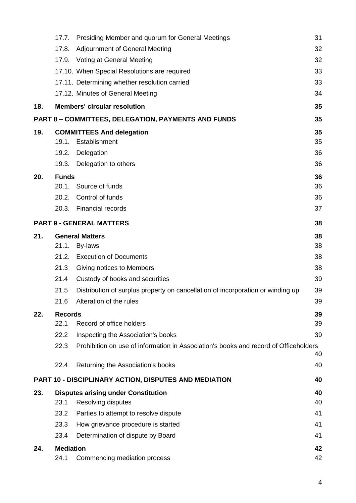|     | 17.7.            | Presiding Member and quorum for General Meetings                                     | 31 |
|-----|------------------|--------------------------------------------------------------------------------------|----|
|     | 17.8.            | <b>Adjournment of General Meeting</b>                                                | 32 |
|     | 17.9.            | Voting at General Meeting                                                            | 32 |
|     |                  | 17.10. When Special Resolutions are required                                         | 33 |
|     |                  | 17.11. Determining whether resolution carried                                        | 33 |
|     |                  | 17.12. Minutes of General Meeting                                                    | 34 |
| 18. |                  | <b>Members' circular resolution</b>                                                  | 35 |
|     |                  | <b>PART 8 - COMMITTEES, DELEGATION, PAYMENTS AND FUNDS</b>                           | 35 |
| 19. |                  | <b>COMMITTEES And delegation</b>                                                     | 35 |
|     | 19.1.            | Establishment                                                                        | 35 |
|     | 19.2.            | Delegation                                                                           | 36 |
|     | 19.3.            | Delegation to others                                                                 | 36 |
| 20. | <b>Funds</b>     |                                                                                      | 36 |
|     | 20.1.            | Source of funds                                                                      | 36 |
|     | 20.2.            | Control of funds                                                                     | 36 |
|     |                  | 20.3. Financial records                                                              | 37 |
|     |                  | <b>PART 9 - GENERAL MATTERS</b>                                                      | 38 |
| 21. |                  | <b>General Matters</b>                                                               | 38 |
|     | 21.1.            | By-laws                                                                              | 38 |
|     | 21.2.            | <b>Execution of Documents</b>                                                        | 38 |
|     | 21.3             | Giving notices to Members                                                            | 38 |
|     | 21.4             | Custody of books and securities                                                      | 39 |
|     | 21.5             | Distribution of surplus property on cancellation of incorporation or winding up      | 39 |
|     | 21.6             | Alteration of the rules                                                              | 39 |
| 22. | <b>Records</b>   |                                                                                      | 39 |
|     | 22.1             | Record of office holders                                                             | 39 |
|     | 22.2             | Inspecting the Association's books                                                   | 39 |
|     | 22.3             | Prohibition on use of information in Association's books and record of Officeholders | 40 |
|     | 22.4             | Returning the Association's books                                                    | 40 |
|     |                  | <b>PART 10 - DISCIPLINARY ACTION, DISPUTES AND MEDIATION</b>                         | 40 |
| 23. |                  | <b>Disputes arising under Constitution</b>                                           | 40 |
|     | 23.1             | Resolving disputes                                                                   | 40 |
|     | 23.2             | Parties to attempt to resolve dispute                                                | 41 |
|     | 23.3             | How grievance procedure is started                                                   | 41 |
|     | 23.4             | Determination of dispute by Board                                                    | 41 |
| 24. | <b>Mediation</b> |                                                                                      | 42 |
|     | 24.1             | Commencing mediation process                                                         | 42 |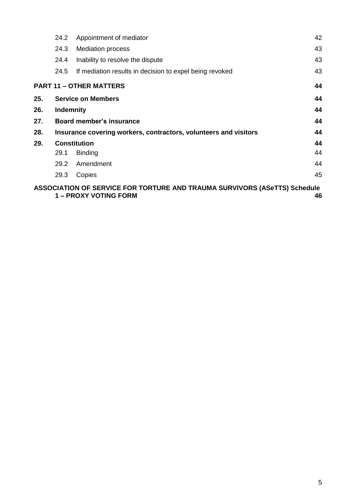|     | 24.2             | Appointment of mediator                                                                            | 42 |
|-----|------------------|----------------------------------------------------------------------------------------------------|----|
|     | 24.3             | <b>Mediation process</b>                                                                           | 43 |
|     | 24.4             | Inability to resolve the dispute                                                                   | 43 |
|     | 24.5             | If mediation results in decision to expel being revoked                                            | 43 |
|     |                  | <b>PART 11 - OTHER MATTERS</b>                                                                     | 44 |
| 25. |                  | <b>Service on Members</b>                                                                          | 44 |
| 26. | <b>Indemnity</b> |                                                                                                    | 44 |
| 27. |                  | Board member's insurance                                                                           | 44 |
| 28. |                  | Insurance covering workers, contractors, volunteers and visitors                                   | 44 |
| 29. |                  | <b>Constitution</b>                                                                                | 44 |
|     | 29.1             | <b>Binding</b>                                                                                     | 44 |
|     | 29.2             | Amendment                                                                                          | 44 |
|     | 29.3             | Copies                                                                                             | 45 |
|     |                  | ASSOCIATION OF SERVICE FOR TORTURE AND TRAUMA SURVIVORS (ASeTTS) Schedule<br>1 – PROXY VOTING FORM | 46 |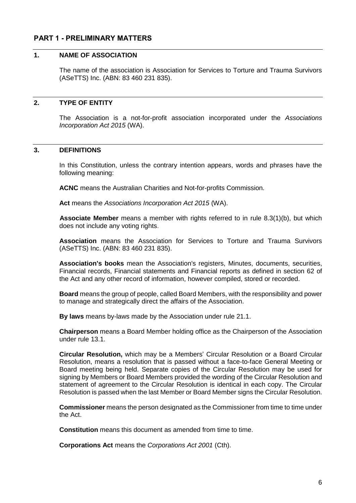# <span id="page-5-1"></span><span id="page-5-0"></span>**PART 1 - PRELIMINARY MATTERS**

### **1. NAME OF ASSOCIATION**

The name of the association is Association for Services to Torture and Trauma Survivors (ASeTTS) Inc. (ABN: 83 460 231 835).

### <span id="page-5-2"></span>**2. TYPE OF ENTITY**

The Association is a not-for-profit association incorporated under the *Associations Incorporation Act 2015* (WA).

### <span id="page-5-3"></span>**3. DEFINITIONS**

In this Constitution, unless the contrary intention appears, words and phrases have the following meaning:

**ACNC** means the Australian Charities and Not-for-profits Commission.

**Act** means the *Associations Incorporation Act 2015* (WA).

**Associate Member** means a member with rights referred to in rule [8.3\(1\)\(b\),](#page-10-5) but which does not include any voting rights.

**Association** means the Association for Services to Torture and Trauma Survivors (ASeTTS) Inc. (ABN: 83 460 231 835).

**Association's books** mean the Association's registers, Minutes, documents, securities, Financial records, Financial statements and Financial reports as defined in section 62 of the Act and any other record of information, however compiled, stored or recorded.

**Board** means the group of people, called Board Members, with the responsibility and power to manage and strategically direct the affairs of the Association.

**By laws** means by-laws made by the Association under rule 21.1.

**Chairperson** means a Board Member holding office as the Chairperson of the Association under rule [13.1.](#page-16-4)

**Circular Resolution,** which may be a Members' Circular Resolution or a Board Circular Resolution, means a resolution that is passed without a face-to-face General Meeting or Board meeting being held. Separate copies of the Circular Resolution may be used for signing by Members or Board Members provided the wording of the Circular Resolution and statement of agreement to the Circular Resolution is identical in each copy. The Circular Resolution is passed when the last Member or Board Member signs the Circular Resolution.

**Commissioner** means the person designated as the Commissioner from time to time under the Act.

**Constitution** means this document as amended from time to time.

**Corporations Act** means the *Corporations Act 2001* (Cth).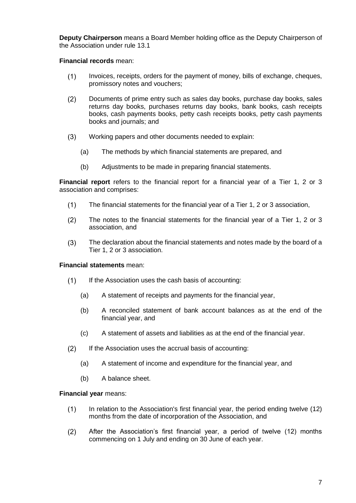**Deputy Chairperson** means a Board Member holding office as the Deputy Chairperson of the Association under rule [13.1](#page-16-4)

### **Financial records** mean:

- $(1)$ Invoices, receipts, orders for the payment of money, bills of exchange, cheques, promissory notes and vouchers;
- $(2)$ Documents of prime entry such as sales day books, purchase day books, sales returns day books, purchases returns day books, bank books, cash receipts books, cash payments books, petty cash receipts books, petty cash payments books and journals; and
- Working papers and other documents needed to explain:  $(3)$ 
	- (a) The methods by which financial statements are prepared, and
	- (b) Adjustments to be made in preparing financial statements.

**Financial report** refers to the financial report for a financial year of a Tier 1, 2 or 3 association and comprises:

- $(1)$ The financial statements for the financial year of a Tier 1, 2 or 3 association,
- $(2)$ The notes to the financial statements for the financial year of a Tier 1, 2 or 3 association, and
- $(3)$ The declaration about the financial statements and notes made by the board of a Tier 1, 2 or 3 association.

### **Financial statements** mean:

- $(1)$ If the Association uses the cash basis of accounting:
	- (a) A statement of receipts and payments for the financial year,
	- (b) A reconciled statement of bank account balances as at the end of the financial year, and
	- (c) A statement of assets and liabilities as at the end of the financial year.
- $(2)$ If the Association uses the accrual basis of accounting:
	- (a) A statement of income and expenditure for the financial year, and
	- (b) A balance sheet.

### **Financial year** means:

- $(1)$ In relation to the Association's first financial year, the period ending twelve (12) months from the date of incorporation of the Association, and
- $(2)$ After the Association's first financial year, a period of twelve (12) months commencing on 1 July and ending on 30 June of each year.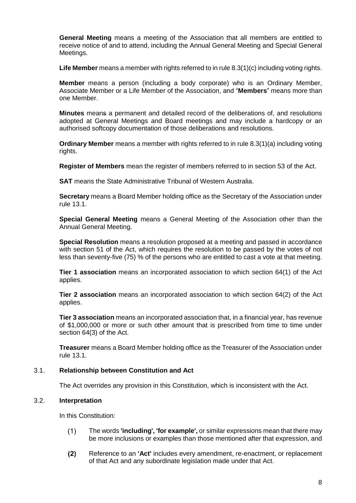**General Meeting** means a meeting of the Association that all members are entitled to receive notice of and to attend, including the Annual General Meeting and Special General Meetings.

**Life Member** means a member with rights referred to in rule [8.3\(1\)\(c\)](#page-11-3) including voting rights.

**Member** means a person (including a body corporate) who is an Ordinary Member, Associate Member or a Life Member of the Association, and "**Members**" means more than one Member.

**Minutes** means a permanent and detailed record of the deliberations of, and resolutions adopted at General Meetings and Board meetings and may include a hardcopy or an authorised softcopy documentation of those deliberations and resolutions.

**Ordinary Member** means a member with rights referred to in rule [8.3\(1\)\(a\)](#page-10-6) including voting rights.

**Register of Members** mean the register of members referred to in section 53 of the Act.

**SAT** means the State Administrative Tribunal of Western Australia.

**Secretary** means a Board Member holding office as the Secretary of the Association under rule [13.](#page-16-3)1.

**Special General Meeting** means a General Meeting of the Association other than the Annual General Meeting.

**Special Resolution** means a resolution proposed at a meeting and passed in accordance with section 51 of the Act, which requires the resolution to be passed by the votes of not less than seventy-five (75) % of the persons who are entitled to cast a vote at that meeting.

**Tier 1 association** means an incorporated association to which section 64(1) of the Act applies.

**Tier 2 association** means an incorporated association to which section 64(2) of the Act applies.

**Tier 3 association** means an incorporated association that, in a financial year, has revenue of \$1,000,000 or more or such other amount that is prescribed from time to time under section 64(3) of the Act.

**Treasurer** means a Board Member holding office as the Treasurer of the Association under rule [13.1.](#page-16-4)

### <span id="page-7-0"></span>3.1. **Relationship between Constitution and Act**

The Act overrides any provision in this Constitution, which is inconsistent with the Act.

### <span id="page-7-1"></span>3.2. **Interpretation**

In this Constitution:

- $(1)$ The words **'including', 'for example',** or similar expressions mean that there may be more inclusions or examples than those mentioned after that expression, and
- $(2)$ Reference to an **'Act'** includes every amendment, re-enactment, or replacement of that Act and any subordinate legislation made under that Act.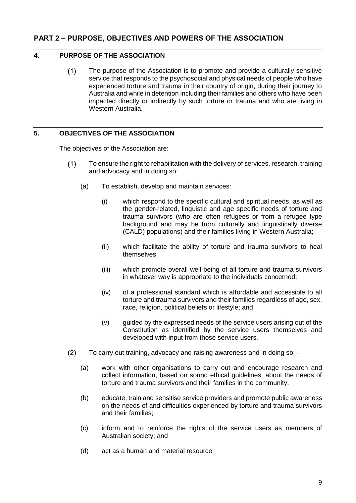# <span id="page-8-1"></span><span id="page-8-0"></span>**4. PURPOSE OF THE ASSOCIATION**

 $(1)$ The purpose of the Association is to promote and provide a culturally sensitive service that responds to the psychosocial and physical needs of people who have experienced torture and trauma in their country of origin, during their journey to Australia and while in detention including their families and others who have been impacted directly or indirectly by such torture or trauma and who are living in Western Australia.

# <span id="page-8-2"></span>**5. OBJECTIVES OF THE ASSOCIATION**

The objectives of the Association are:

- $(1)$ To ensure the right to rehabilitation with the delivery of services, research, training and advocacy and in doing so:
	- (a) To establish, develop and maintain services:
		- (i) which respond to the specific cultural and spiritual needs, as well as the gender-related, linguistic and age specific needs of torture and trauma survivors (who are often refugees or from a refugee type background and may be from culturally and linguistically diverse (CALD) populations) and their families living in Western Australia;
		- (ii) which facilitate the ability of torture and trauma survivors to heal themselves;
		- (iii) which promote overall well-being of all torture and trauma survivors in whatever way is appropriate to the individuals concerned;
		- (iv) of a professional standard which is affordable and accessible to all torture and trauma survivors and their families regardless of age, sex, race, religion, political beliefs or lifestyle; and
		- (v) guided by the expressed needs of the service users arising out of the Constitution as identified by the service users themselves and developed with input from those service users.
- $(2)$ To carry out training, advocacy and raising awareness and in doing so: -
	- (a) work with other organisations to carry out and encourage research and collect information, based on sound ethical guidelines, about the needs of torture and trauma survivors and their families in the community.
	- (b) educate, train and sensitise service providers and promote public awareness on the needs of and difficulties experienced by torture and trauma survivors and their families;
	- (c) inform and to reinforce the rights of the service users as members of Australian society; and
	- (d) act as a human and material resource.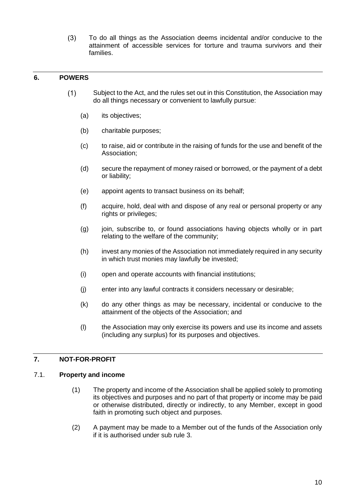$(3)$ To do all things as the Association deems incidental and/or conducive to the attainment of accessible services for torture and trauma survivors and their families.

# <span id="page-9-0"></span>**6. POWERS**

- Subject to the Act, and the rules set out in this Constitution, the Association may  $(1)$ do all things necessary or convenient to lawfully pursue:
	- (a) its objectives;
	- (b) charitable purposes;
	- (c) to raise, aid or contribute in the raising of funds for the use and benefit of the Association;
	- (d) secure the repayment of money raised or borrowed, or the payment of a debt or liability;
	- (e) appoint agents to transact business on its behalf;
	- (f) acquire, hold, deal with and dispose of any real or personal property or any rights or privileges;
	- (g) join, subscribe to, or found associations having objects wholly or in part relating to the welfare of the community;
	- (h) invest any monies of the Association not immediately required in any security in which trust monies may lawfully be invested;
	- (i) open and operate accounts with financial institutions;
	- (j) enter into any lawful contracts it considers necessary or desirable;
	- (k) do any other things as may be necessary, incidental or conducive to the attainment of the objects of the Association; and
	- (l) the Association may only exercise its powers and use its income and assets (including any surplus) for its purposes and objectives.

# <span id="page-9-1"></span>**7. NOT-FOR-PROFIT**

### <span id="page-9-2"></span>7.1. **Property and income**

- (1) The property and income of the Association shall be applied solely to promoting its objectives and purposes and no part of that property or income may be paid or otherwise distributed, directly or indirectly, to any Member, except in good faith in promoting such object and purposes.
- (2) A payment may be made to a Member out of the funds of the Association only if it is authorised under sub rule 3.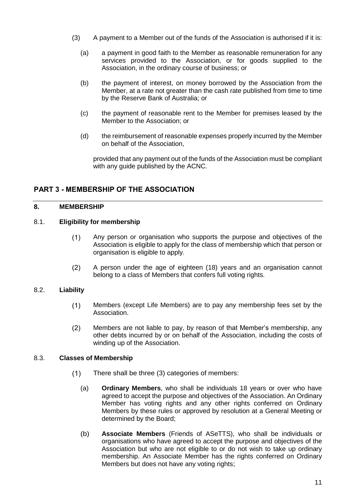- (3) A payment to a Member out of the funds of the Association is authorised if it is:
	- (a) a payment in good faith to the Member as reasonable remuneration for any services provided to the Association, or for goods supplied to the Association, in the ordinary course of business; or
	- (b) the payment of interest, on money borrowed by the Association from the Member, at a rate not greater than the cash rate published from time to time by the Reserve Bank of Australia; or
	- (c) the payment of reasonable rent to the Member for premises leased by the Member to the Association; or
	- (d) the reimbursement of reasonable expenses properly incurred by the Member on behalf of the Association,

provided that any payment out of the funds of the Association must be compliant with any guide published by the ACNC.

# <span id="page-10-0"></span>**PART 3 - MEMBERSHIP OF THE ASSOCIATION**

### <span id="page-10-1"></span>**8. MEMBERSHIP**

# <span id="page-10-2"></span>8.1. **Eligibility for membership**

- $(1)$ Any person or organisation who supports the purpose and objectives of the Association is eligible to apply for the class of membership which that person or organisation is eligible to apply.
- $(2)$ A person under the age of eighteen (18) years and an organisation cannot belong to a class of Members that confers full voting rights.

# <span id="page-10-3"></span>8.2. **Liability**

- $(1)$ Members (except Life Members) are to pay any membership fees set by the Association.
- $(2)$ Members are not liable to pay, by reason of that Member's membership, any other debts incurred by or on behalf of the Association, including the costs of winding up of the Association.

### <span id="page-10-6"></span><span id="page-10-4"></span>8.3. **Classes of Membership**

- <span id="page-10-5"></span> $(1)$ There shall be three (3) categories of members:
	- (a) **Ordinary Members**, who shall be individuals 18 years or over who have agreed to accept the purpose and objectives of the Association. An Ordinary Member has voting rights and any other rights conferred on Ordinary Members by these rules or approved by resolution at a General Meeting or determined by the Board;
	- (b) **Associate Members** (Friends of ASeTTS), who shall be individuals or organisations who have agreed to accept the purpose and objectives of the Association but who are not eligible to or do not wish to take up ordinary membership. An Associate Member has the rights conferred on Ordinary Members but does not have any voting rights;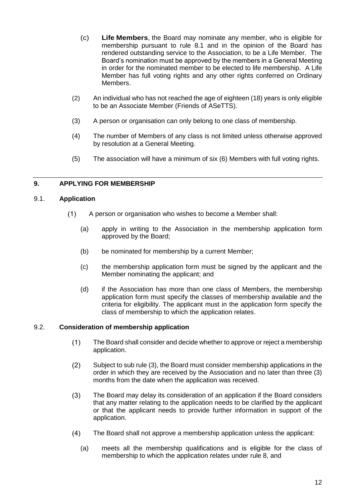- <span id="page-11-3"></span>(c) **Life Members**, the Board may nominate any member, who is eligible for membership pursuant to rule 8.1 and in the opinion of the Board has rendered outstanding service to the Association, to be a Life Member. The Board's nomination must be approved by the members in a General Meeting in order for the nominated member to be elected to life membership. A Life Member has full voting rights and any other rights conferred on Ordinary Members.
- (2) An individual who has not reached the age of eighteen (18) years is only eligible to be an Associate Member (Friends of ASeTTS).
- (3) A person or organisation can only belong to one class of membership.
- (4) The number of Members of any class is not limited unless otherwise approved by resolution at a General Meeting.
- (5) The association will have a minimum of six (6) Members with full voting rights.

# <span id="page-11-0"></span>**9. APPLYING FOR MEMBERSHIP**

### <span id="page-11-5"></span><span id="page-11-1"></span>9.1. **Application**

- $(1)$ A person or organisation who wishes to become a Member shall:
	- (a) apply in writing to the Association in the membership application form approved by the Board;
	- (b) be nominated for membership by a current Member;
	- (c) the membership application form must be signed by the applicant and the Member nominating the applicant; and
	- (d) if the Association has more than one class of Members, the membership application form must specify the classes of membership available and the criteria for eligibility. The applicant must in the application form specify the class of membership to which the application relates.

### <span id="page-11-6"></span><span id="page-11-2"></span>9.2. **Consideration of membership application**

- $(1)$ The Board shall consider and decide whether to approve or reject a membership application.
- $(2)$ Subject to sub rule [\(3\),](#page-11-4) the Board must consider membership applications in the order in which they are received by the Association and no later than three (3) months from the date when the application was received.
- <span id="page-11-4"></span> $(3)$ The Board may delay its consideration of an application if the Board considers that any matter relating to the application needs to be clarified by the applicant or that the applicant needs to provide further information in support of the application.
- $(4)$ The Board shall not approve a membership application unless the applicant:
	- (a) meets all the membership qualifications and is eligible for the class of membership to which the application relates under rule 8, and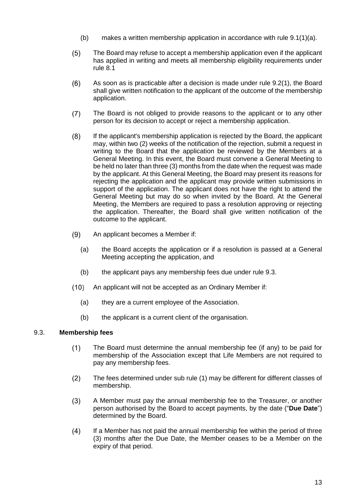- (b) makes a written membership application in accordance with rule [9.1\(1\)\(a\).](#page-11-5)
- $(5)$ The Board may refuse to accept a membership application even if the applicant has applied in writing and meets all membership eligibility requirements under rule [8.1](#page-10-2)
- $(6)$ As soon as is practicable after a decision is made under rule 9.[2\(1\),](#page-11-6) the Board shall give written notification to the applicant of the outcome of the membership application.
- The Board is not obliged to provide reasons to the applicant or to any other  $(7)$ person for its decision to accept or reject a membership application.
- $(8)$ If the applicant's membership application is rejected by the Board, the applicant may, within two (2) weeks of the notification of the rejection, submit a request in writing to the Board that the application be reviewed by the Members at a General Meeting. In this event, the Board must convene a General Meeting to be held no later than three (3) months from the date when the request was made by the applicant. At this General Meeting, the Board may present its reasons for rejecting the application and the applicant may provide written submissions in support of the application. The applicant does not have the right to attend the General Meeting but may do so when invited by the Board. At the General Meeting, the Members are required to pass a resolution approving or rejecting the application. Thereafter, the Board shall give written notification of the outcome to the applicant.
- An applicant becomes a Member if:  $(9)$ 
	- (a) the Board accepts the application or if a resolution is passed at a General Meeting accepting the application, and
	- (b) the applicant pays any membership fees due under rule [9.3.](#page-12-0)
- $(10)$ An applicant will not be accepted as an Ordinary Member if:
	- (a) they are a current employee of the Association.
	- (b) the applicant is a current client of the organisation.

### <span id="page-12-0"></span>9.3. **Membership fees**

- $(1)$ The Board must determine the annual membership fee (if any) to be paid for membership of the Association except that Life Members are not required to pay any membership fees.
- $(2)$ The fees determined under sub rule (1) may be different for different classes of membership.
- <span id="page-12-1"></span> $(3)$ A Member must pay the annual membership fee to the Treasurer, or another person authorised by the Board to accept payments, by the date ("**Due Date**") determined by the Board.
- $(4)$ If a Member has not paid the annual membership fee within the period of three (3) months after the Due Date, the Member ceases to be a Member on the expiry of that period.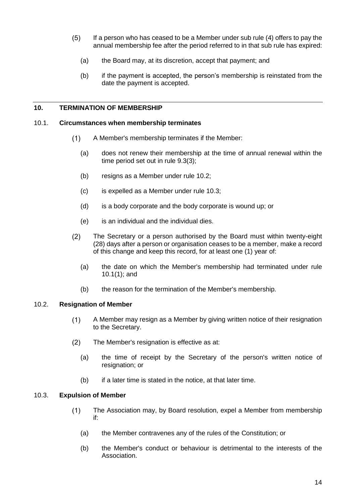- $(5)$ If a person who has ceased to be a Member under sub rule (4) offers to pay the annual membership fee after the period referred to in that sub rule has expired:
	- (a) the Board may, at its discretion, accept that payment; and
	- (b) if the payment is accepted, the person's membership is reinstated from the date the payment is accepted.

### <span id="page-13-0"></span>**10. TERMINATION OF MEMBERSHIP**

### <span id="page-13-4"></span><span id="page-13-1"></span>10.1. **Circumstances when membership terminates**

- $(1)$ A Member's membership terminates if the Member:
	- (a) does not renew their membership at the time of annual renewal within the time period set out in rule [9.3\(3\);](#page-12-1)
	- (b) resigns as a Member under rule [10.2;](#page-13-2)
	- (c) is expelled as a Member under rule [10.3;](#page-13-3)
	- (d) is a body corporate and the body corporate is wound up; or
	- (e) is an individual and the individual dies.
- $(2)$ The Secretary or a person authorised by the Board must within twenty-eight (28) days after a person or organisation ceases to be a member, make a record of this change and keep this record, for at least one (1) year of:
	- (a) the date on which the Member's membership had terminated under rule [10.1\(1\);](#page-13-4) and
	- (b) the reason for the termination of the Member's membership.

### <span id="page-13-2"></span>10.2. **Resignation of Member**

- A Member may resign as a Member by giving written notice of their resignation  $(1)$ to the Secretary.
- $(2)$ The Member's resignation is effective as at:
	- (a) the time of receipt by the Secretary of the person's written notice of resignation; or
	- (b) if a later time is stated in the notice, at that later time.

# <span id="page-13-3"></span>10.3. **Expulsion of Member**

- $(1)$ The Association may, by Board resolution, expel a Member from membership if:
	- (a) the Member contravenes any of the rules of the Constitution; or
	- (b) the Member's conduct or behaviour is detrimental to the interests of the Association.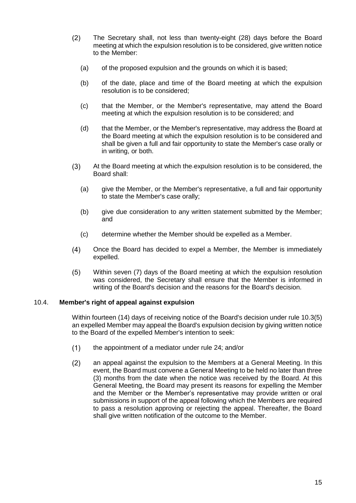- $(2)$ The Secretary shall, not less than twenty-eight (28) days before the Board meeting at which the expulsion resolution is to be considered, give written notice to the Member:
	- (a) of the proposed expulsion and the grounds on which it is based;
	- (b) of the date, place and time of the Board meeting at which the expulsion resolution is to be considered;
	- (c) that the Member, or the Member's representative, may attend the Board meeting at which the expulsion resolution is to be considered; and
	- (d) that the Member, or the Member's representative, may address the Board at the Board meeting at which the expulsion resolution is to be considered and shall be given a full and fair opportunity to state the Member's case orally or in writing, or both.
- $(3)$ At the Board meeting at which the expulsion resolution is to be considered, the Board shall:
	- (a) give the Member, or the Member's representative, a full and fair opportunity to state the Member's case orally;
	- (b) give due consideration to any written statement submitted by the Member; and
	- (c) determine whether the Member should be expelled as a Member.
- $(4)$ Once the Board has decided to expel a Member, the Member is immediately expelled.
- $(5)$ Within seven (7) days of the Board meeting at which the expulsion resolution was considered, the Secretary shall ensure that the Member is informed in writing of the Board's decision and the reasons for the Board's decision.

### <span id="page-14-1"></span><span id="page-14-0"></span>10.4. **Member's right of appeal against expulsion**

Within fourteen (14) days of receiving notice of the Board's decision under rule [10.3\(5\)](#page-14-1) an expelled Member may appeal the Board's expulsion decision by giving written notice to the Board of the expelled Member's intention to seek:

- $(1)$ the appointment of a mediator under rule [24;](#page-41-0) and/or
- $(2)$ an appeal against the expulsion to the Members at a General Meeting. In this event, the Board must convene a General Meeting to be held no later than three (3) months from the date when the notice was received by the Board. At this General Meeting, the Board may present its reasons for expelling the Member and the Member or the Member's representative may provide written or oral submissions in support of the appeal following which the Members are required to pass a resolution approving or rejecting the appeal. Thereafter, the Board shall give written notification of the outcome to the Member.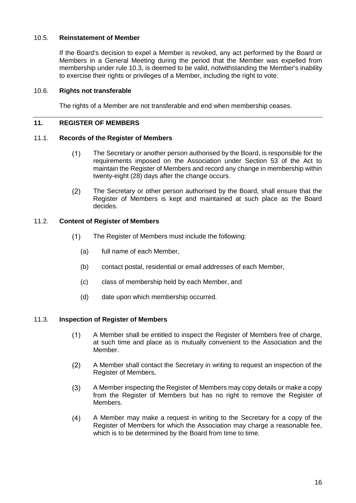# <span id="page-15-0"></span>10.5. **Reinstatement of Member**

If the Board's decision to expel a Member is revoked, any act performed by the Board or Members in a General Meeting during the period that the Member was expelled from membership under rule [10.3,](#page-13-3) is deemed to be valid, notwithstanding the Member's inability to exercise their rights or privileges of a Member, including the right to vote.

### <span id="page-15-1"></span>10.6. **Rights not transferable**

The rights of a Member are not transferable and end when membership ceases.

### <span id="page-15-2"></span>**11. REGISTER OF MEMBERS**

### <span id="page-15-3"></span>11.1. **Records of the Register of Members**

- $(1)$ The Secretary or another person authorised by the Board, is responsible for the requirements imposed on the Association under Section 53 of the Act to maintain the Register of Members and record any change in membership within twenty-eight (28) days after the change occurs.
- $(2)$ The Secretary or other person authorised by the Board, shall ensure that the Register of Members is kept and maintained at such place as the Board decides.

# <span id="page-15-4"></span>11.2. **Content of Register of Members**

- $(1)$ The Register of Members must include the following:
	- (a) full name of each Member,
	- (b) contact postal, residential or email addresses of each Member,
	- (c) class of membership held by each Member, and
	- (d) date upon which membership occurred.

# <span id="page-15-5"></span>11.3. **Inspection of Register of Members**

- A Member shall be entitled to inspect the Register of Members free of charge,  $(1)$ at such time and place as is mutually convenient to the Association and the Member.
- $(2)$ A Member shall contact the Secretary in writing to request an inspection of the Register of Members.
- <span id="page-15-6"></span> $(3)$ A Member inspecting the Register of Members may copy details or make a copy from the Register of Members but has no right to remove the Register of Members.
- <span id="page-15-7"></span> $(4)$ A Member may make a request in writing to the Secretary for a copy of the Register of Members for which the Association may charge a reasonable fee, which is to be determined by the Board from time to time.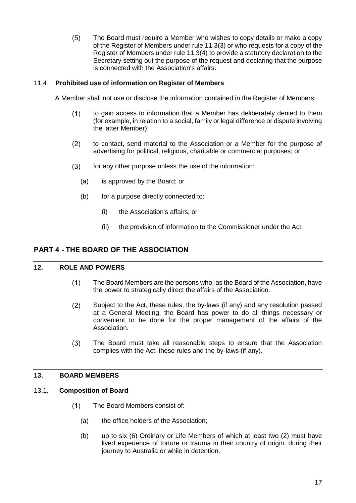$(5)$ The Board must require a Member who wishes to copy details or make a copy of the Register of Members under rule 11.[3\(3\)](#page-15-6) or who requests for a copy of the Register of Members under rule 11.[3\(4\)](#page-15-7) to provide a statutory declaration to the Secretary setting out the purpose of the request and declaring that the purpose is connected with the Association's affairs.

# 11.4 **Prohibited use of information on Register of Members**

<span id="page-16-0"></span>A Member shall not use or disclose the information contained in the Register of Members;

- $(1)$ to gain access to information that a Member has deliberately denied to them (for example, in relation to a social, family or legal difference or dispute involving the latter Member);
- $(2)$ to contact, send material to the Association or a Member for the purpose of advertising for political, religious, charitable or commercial purposes; or
- $(3)$ for any other purpose unless the use of the information:
	- (a) is approved by the Board; or
	- (b) for a purpose directly connected to:
		- (i) the Association's affairs; or
		- (ii) the provision of information to the Commissioner under the Act.

### <span id="page-16-1"></span>**PART 4 - THE BOARD OF THE ASSOCIATION**

### <span id="page-16-2"></span>**12. ROLE AND POWERS**

- $(1)$ The Board Members are the persons who, as the Board of the Association, have the power to strategically direct the affairs of the Association.
- $(2)$ Subject to the Act, these rules, the by-laws (if any) and any resolution passed at a General Meeting, the Board has power to do all things necessary or convenient to be done for the proper management of the affairs of the Association.
- $(3)$ The Board must take all reasonable steps to ensure that the Association complies with the Act, these rules and the by-laws (if any).

### <span id="page-16-3"></span>**13. BOARD MEMBERS**

### <span id="page-16-4"></span>13.1. **Composition of Board**

- $(1)$ The Board Members consist of:
	- (a) the office holders of the Association;
	- (b) up to six (6) Ordinary or Life Members of which at least two (2) must have lived experience of torture or trauma in their country of origin, during their journey to Australia or while in detention.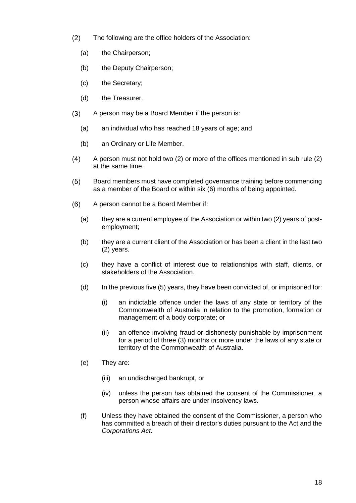- $(2)$ The following are the office holders of the Association:
	- (a) the Chairperson;
	- (b) the Deputy Chairperson;
	- (c) the Secretary;
	- (d) the Treasurer.
- $(3)$ A person may be a Board Member if the person is:
	- (a) an individual who has reached 18 years of age; and
	- (b) an Ordinary or Life Member.
- $(4)$ A person must not hold two (2) or more of the offices mentioned in sub rule (2) at the same time.
- $(5)$ Board members must have completed governance training before commencing as a member of the Board or within six (6) months of being appointed.
- $(6)$ A person cannot be a Board Member if:
	- (a) they are a current employee of the Association or within two (2) years of postemployment;
	- (b) they are a current client of the Association or has been a client in the last two (2) years.
	- (c) they have a conflict of interest due to relationships with staff, clients, or stakeholders of the Association.
	- (d) In the previous five (5) years, they have been convicted of, or imprisoned for:
		- (i) an indictable offence under the laws of any state or territory of the Commonwealth of Australia in relation to the promotion, formation or management of a body corporate; or
		- (ii) an offence involving fraud or dishonesty punishable by imprisonment for a period of three (3) months or more under the laws of any state or territory of the Commonwealth of Australia.
	- (e) They are:
		- (iii) an undischarged bankrupt, or
		- (iv) unless the person has obtained the consent of the Commissioner, a person whose affairs are under insolvency laws.
	- (f) Unless they have obtained the consent of the Commissioner, a person who has committed a breach of their director's duties pursuant to the Act and the *Corporations Act*.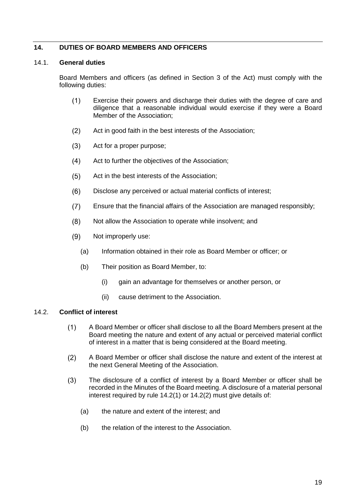# <span id="page-18-0"></span>**14. DUTIES OF BOARD MEMBERS AND OFFICERS**

### <span id="page-18-1"></span>14.1. **General duties**

Board Members and officers (as defined in Section 3 of the Act) must comply with the following duties:

- $(1)$ Exercise their powers and discharge their duties with the degree of care and diligence that a reasonable individual would exercise if they were a Board Member of the Association;
- $(2)$ Act in good faith in the best interests of the Association;
- $(3)$ Act for a proper purpose;
- $(4)$ Act to further the objectives of the Association;
- $(5)$ Act in the best interests of the Association;
- $(6)$ Disclose any perceived or actual material conflicts of interest;
- $(7)$ Ensure that the financial affairs of the Association are managed responsibly;
- $(8)$ Not allow the Association to operate while insolvent; and
- $(9)$ Not improperly use:
	- (a) Information obtained in their role as Board Member or officer; or
	- (b) Their position as Board Member, to:
		- (i) gain an advantage for themselves or another person, or
		- (ii) cause detriment to the Association.

### <span id="page-18-3"></span><span id="page-18-2"></span>14.2. **Conflict of interest**

- $(1)$ A Board Member or officer shall disclose to all the Board Members present at the Board meeting the nature and extent of any actual or perceived material conflict of interest in a matter that is being considered at the Board meeting.
- <span id="page-18-4"></span> $(2)$ A Board Member or officer shall disclose the nature and extent of the interest at the next General Meeting of the Association.
- $(3)$ The disclosure of a conflict of interest by a Board Member or officer shall be recorded in the Minutes of the Board meeting. A disclosure of a material personal interest required by rule 14.[2\(1\)](#page-18-3) or 14.[2\(2\)](#page-18-4) must give details of:
	- (a) the nature and extent of the interest; and
	- (b) the relation of the interest to the Association.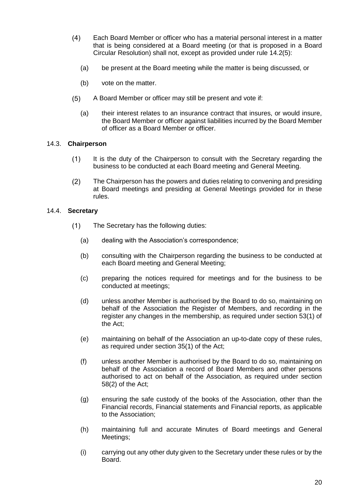- $(4)$ Each Board Member or officer who has a material personal interest in a matter that is being considered at a Board meeting (or that is proposed in a Board Circular Resolution) shall not, except as provided under rule 14.[2\(5\):](#page-19-2)
	- (a) be present at the Board meeting while the matter is being discussed, or
	- (b) vote on the matter.
- <span id="page-19-2"></span> $(5)$ A Board Member or officer may still be present and vote if:
	- (a) their interest relates to an insurance contract that insures, or would insure, the Board Member or officer against liabilities incurred by the Board Member of officer as a Board Member or officer.

### <span id="page-19-0"></span>14.3. **Chairperson**

- $(1)$ It is the duty of the Chairperson to consult with the Secretary regarding the business to be conducted at each Board meeting and General Meeting.
- $(2)$ The Chairperson has the powers and duties relating to convening and presiding at Board meetings and presiding at General Meetings provided for in these rules.

# <span id="page-19-1"></span>14.4. **Secretary**

- $(1)$ The Secretary has the following duties:
	- (a) dealing with the Association's correspondence;
	- (b) consulting with the Chairperson regarding the business to be conducted at each Board meeting and General Meeting;
	- (c) preparing the notices required for meetings and for the business to be conducted at meetings;
	- (d) unless another Member is authorised by the Board to do so, maintaining on behalf of the Association the Register of Members, and recording in the register any changes in the membership, as required under section 53(1) of the Act;
	- (e) maintaining on behalf of the Association an up-to-date copy of these rules, as required under section 35(1) of the Act;
	- (f) unless another Member is authorised by the Board to do so, maintaining on behalf of the Association a record of Board Members and other persons authorised to act on behalf of the Association, as required under section 58(2) of the Act;
	- (g) ensuring the safe custody of the books of the Association, other than the Financial records, Financial statements and Financial reports, as applicable to the Association;
	- (h) maintaining full and accurate Minutes of Board meetings and General Meetings;
	- (i) carrying out any other duty given to the Secretary under these rules or by the Board.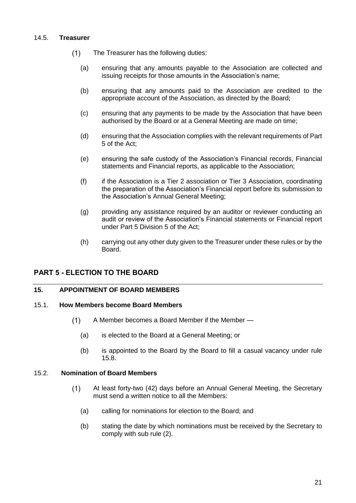### <span id="page-20-0"></span>14.5. **Treasurer**

- $(1)$ The Treasurer has the following duties:
	- (a) ensuring that any amounts payable to the Association are collected and issuing receipts for those amounts in the Association's name;
	- (b) ensuring that any amounts paid to the Association are credited to the appropriate account of the Association, as directed by the Board;
	- (c) ensuring that any payments to be made by the Association that have been authorised by the Board or at a General Meeting are made on time;
	- (d) ensuring that the Association complies with the relevant requirements of Part 5 of the Act;
	- (e) ensuring the safe custody of the Association's Financial records, Financial statements and Financial reports, as applicable to the Association;
	- (f) if the Association is a Tier 2 association or Tier 3 Association, coordinating the preparation of the Association's Financial report before its submission to the Association's Annual General Meeting;
	- (g) providing any assistance required by an auditor or reviewer conducting an audit or review of the Association's Financial statements or Financial report under Part 5 Division 5 of the Act;
	- (h) carrying out any other duty given to the Treasurer under these rules or by the Board.

# <span id="page-20-1"></span>**PART 5 - ELECTION TO THE BOARD**

### <span id="page-20-2"></span>**15. APPOINTMENT OF BOARD MEMBERS**

# <span id="page-20-3"></span>15.1. **How Members become Board Members**

- $(1)$ A Member becomes a Board Member if the Member —
	- (a) is elected to the Board at a General Meeting; or
	- (b) is appointed to the Board by the Board to fill a casual vacancy under rule 15.8.

### 15.2. **Nomination of Board Members**

- <span id="page-20-4"></span> $(1)$ At least forty-two (42) days before an Annual General Meeting, the Secretary must send a written notice to all the Members:
	- (a) calling for nominations for election to the Board; and
	- (b) stating the date by which nominations must be received by the Secretary to comply with sub rule (2).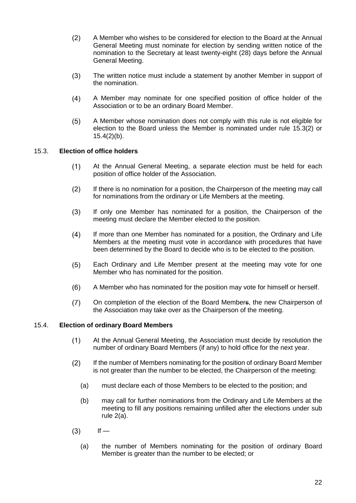- $(2)$ A Member who wishes to be considered for election to the Board at the Annual General Meeting must nominate for election by sending written notice of the nomination to the Secretary at least twenty-eight (28) days before the Annual General Meeting.
- $(3)$ The written notice must include a statement by another Member in support of the nomination.
- $(4)$ A Member may nominate for one specified position of office holder of the Association or to be an ordinary Board Member.
- A Member whose nomination does not comply with this rule is not eligible for  $(5)$ election to the Board unless the Member is nominated under rule 15.3(2) or 15.4(2)(b).

# <span id="page-21-0"></span>15.3. **Election of office holders**

- $(1)$ At the Annual General Meeting, a separate election must be held for each position of office holder of the Association.
- $(2)$ If there is no nomination for a position, the Chairperson of the meeting may call for nominations from the ordinary or Life Members at the meeting.
- $(3)$ If only one Member has nominated for a position, the Chairperson of the meeting must declare the Member elected to the position.
- $(4)$ If more than one Member has nominated for a position, the Ordinary and Life Members at the meeting must vote in accordance with procedures that have been determined by the Board to decide who is to be elected to the position.
- $(5)$ Each Ordinary and Life Member present at the meeting may vote for one Member who has nominated for the position.
- $(6)$ A Member who has nominated for the position may vote for himself or herself.
- $(7)$ On completion of the election of the Board Members, the new Chairperson of the Association may take over as the Chairperson of the meeting.

### <span id="page-21-1"></span>15.4. **Election of ordinary Board Members**

- At the Annual General Meeting, the Association must decide by resolution the  $(1)$ number of ordinary Board Members (if any) to hold office for the next year.
- $(2)$ If the number of Members nominating for the position of ordinary Board Member is not greater than the number to be elected, the Chairperson of the meeting:
	- (a) must declare each of those Members to be elected to the position; and
	- (b) may call for further nominations from the Ordinary and Life Members at the meeting to fill any positions remaining unfilled after the elections under sub rule 2(a).
- $(3)$  $If -$ 
	- (a) the number of Members nominating for the position of ordinary Board Member is greater than the number to be elected; or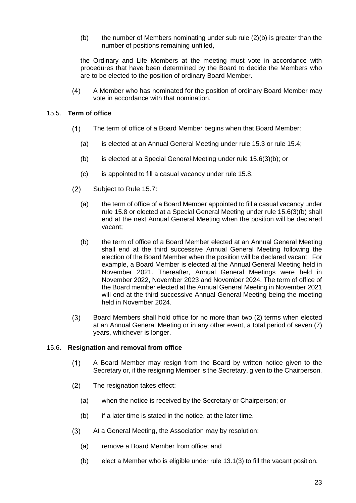(b) the number of Members nominating under sub rule  $(2)(b)$  is greater than the number of positions remaining unfilled,

the Ordinary and Life Members at the meeting must vote in accordance with procedures that have been determined by the Board to decide the Members who are to be elected to the position of ordinary Board Member.

 $(4)$ A Member who has nominated for the position of ordinary Board Member may vote in accordance with that nomination.

### <span id="page-22-0"></span>15.5. **Term of office**

- $(1)$ The term of office of a Board Member begins when that Board Member:
	- (a) is elected at an Annual General Meeting under rule 15.3 or rule 15.4;
	- (b) is elected at a Special General Meeting under rule 15.6(3)(b); or
	- (c) is appointed to fill a casual vacancy under rule 15.8.
- $(2)$ Subject to Rule 15.7:
	- (a) the term of office of a Board Member appointed to fill a casual vacancy under rule 15.8 or elected at a Special General Meeting under rule 15.6(3)(b) shall end at the next Annual General Meeting when the position will be declared vacant;
	- (b) the term of office of a Board Member elected at an Annual General Meeting shall end at the third successive Annual General Meeting following the election of the Board Member when the position will be declared vacant. For example, a Board Member is elected at the Annual General Meeting held in November 2021. Thereafter, Annual General Meetings were held in November 2022, November 2023 and November 2024. The term of office of the Board member elected at the Annual General Meeting in November 2021 will end at the third successive Annual General Meeting being the meeting held in November 2024.
- $(3)$ Board Members shall hold office for no more than two (2) terms when elected at an Annual General Meeting or in any other event, a total period of seven (7) years, whichever is longer.

### <span id="page-22-1"></span>15.6. **Resignation and removal from office**

- A Board Member may resign from the Board by written notice given to the  $(1)$ Secretary or, if the resigning Member is the Secretary, given to the Chairperson.
- $(2)$ The resignation takes effect:
	- (a) when the notice is received by the Secretary or Chairperson; or
	- $(b)$  if a later time is stated in the notice, at the later time.
- $(3)$ At a General Meeting, the Association may by resolution:
	- (a) remove a Board Member from office; and
	- (b) elect a Member who is eligible under rule 13.1(3) to fill the vacant position.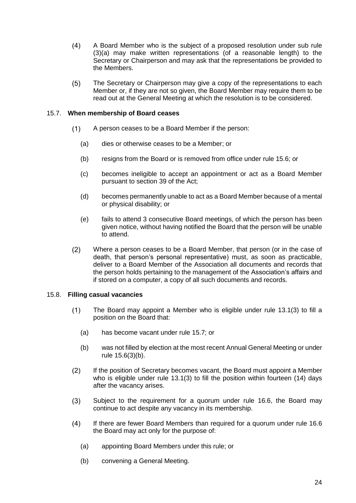- $(4)$ A Board Member who is the subject of a proposed resolution under sub rule (3)(a) may make written representations (of a reasonable length) to the Secretary or Chairperson and may ask that the representations be provided to the Members.
- $(5)$ The Secretary or Chairperson may give a copy of the representations to each Member or, if they are not so given, the Board Member may require them to be read out at the General Meeting at which the resolution is to be considered.

### <span id="page-23-0"></span>15.7. **When membership of Board ceases**

- $(1)$ A person ceases to be a Board Member if the person:
	- (a) dies or otherwise ceases to be a Member; or
	- (b) resigns from the Board or is removed from office under rule 15.6; or
	- (c) becomes ineligible to accept an appointment or act as a Board Member pursuant to section 39 of the Act;
	- (d) becomes permanently unable to act as a Board Member because of a mental or physical disability; or
	- (e) fails to attend 3 consecutive Board meetings, of which the person has been given notice, without having notified the Board that the person will be unable to attend.
- $(2)$ Where a person ceases to be a Board Member, that person (or in the case of death, that person's personal representative) must, as soon as practicable, deliver to a Board Member of the Association all documents and records that the person holds pertaining to the management of the Association's affairs and if stored on a computer, a copy of all such documents and records.

### <span id="page-23-1"></span>15.8. **Filling casual vacancies**

- $(1)$ The Board may appoint a Member who is eligible under rule 13.1(3) to fill a position on the Board that:
	- (a) has become vacant under rule 15.7; or
	- (b) was not filled by election at the most recent Annual General Meeting or under rule 15.6(3)(b).
- $(2)$ If the position of Secretary becomes vacant, the Board must appoint a Member who is eligible under rule 13.1(3) to fill the position within fourteen (14) days after the vacancy arises.
- Subject to the requirement for a quorum under rule 16.6, the Board may  $(3)$ continue to act despite any vacancy in its membership.
- $(4)$ If there are fewer Board Members than required for a quorum under rule 16.6 the Board may act only for the purpose of:
	- (a) appointing Board Members under this rule; or
	- (b) convening a General Meeting.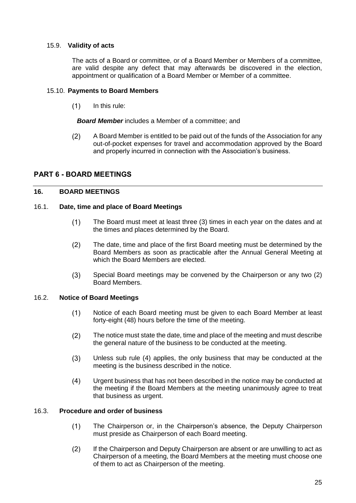# <span id="page-24-0"></span>15.9. **Validity of acts**

The acts of a Board or committee, or of a Board Member or Members of a committee, are valid despite any defect that may afterwards be discovered in the election, appointment or qualification of a Board Member or Member of a committee.

### <span id="page-24-1"></span>15.10. **Payments to Board Members**

 $(1)$ In this rule:

*Board Member* includes a Member of a committee; and

 $(2)$ A Board Member is entitled to be paid out of the funds of the Association for any out-of-pocket expenses for travel and accommodation approved by the Board and properly incurred in connection with the Association's business.

# <span id="page-24-2"></span>**PART 6 - BOARD MEETINGS**

### <span id="page-24-3"></span>**16. BOARD MEETINGS**

### <span id="page-24-4"></span>16.1. **Date, time and place of Board Meetings**

- $(1)$ The Board must meet at least three (3) times in each year on the dates and at the times and places determined by the Board.
- $(2)$ The date, time and place of the first Board meeting must be determined by the Board Members as soon as practicable after the Annual General Meeting at which the Board Members are elected.
- $(3)$ Special Board meetings may be convened by the Chairperson or any two (2) Board Members.

### <span id="page-24-5"></span>16.2. **Notice of Board Meetings**

- $(1)$ Notice of each Board meeting must be given to each Board Member at least forty-eight (48) hours before the time of the meeting.
- $(2)$ The notice must state the date, time and place of the meeting and must describe the general nature of the business to be conducted at the meeting.
- $(3)$ Unless sub rule (4) applies, the only business that may be conducted at the meeting is the business described in the notice.
- $(4)$ Urgent business that has not been described in the notice may be conducted at the meeting if the Board Members at the meeting unanimously agree to treat that business as urgent.

### <span id="page-24-6"></span>16.3. **Procedure and order of business**

- The Chairperson or, in the Chairperson's absence, the Deputy Chairperson  $(1)$ must preside as Chairperson of each Board meeting.
- $(2)$ If the Chairperson and Deputy Chairperson are absent or are unwilling to act as Chairperson of a meeting, the Board Members at the meeting must choose one of them to act as Chairperson of the meeting.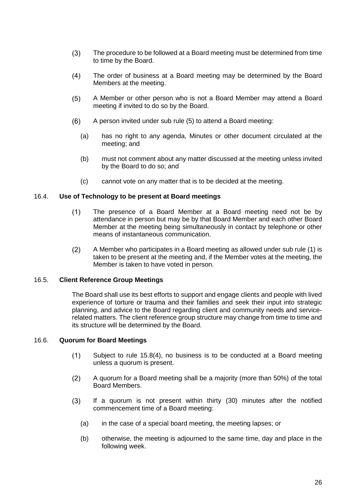- The procedure to be followed at a Board meeting must be determined from time  $(3)$ to time by the Board.
- $(4)$ The order of business at a Board meeting may be determined by the Board Members at the meeting.
- $(5)$ A Member or other person who is not a Board Member may attend a Board meeting if invited to do so by the Board.
- $(6)$ A person invited under sub rule (5) to attend a Board meeting:
	- (a) has no right to any agenda, Minutes or other document circulated at the meeting; and
	- (b) must not comment about any matter discussed at the meeting unless invited by the Board to do so; and
	- (c) cannot vote on any matter that is to be decided at the meeting.

### <span id="page-25-0"></span>16.4. **Use of Technology to be present at Board meetings**

- $(1)$ The presence of a Board Member at a Board meeting need not be by attendance in person but may be by that Board Member and each other Board Member at the meeting being simultaneously in contact by telephone or other means of instantaneous communication.
- $(2)$ A Member who participates in a Board meeting as allowed under sub rule (1) is taken to be present at the meeting and, if the Member votes at the meeting, the Member is taken to have voted in person.

### <span id="page-25-1"></span>16.5. **Client Reference Group Meetings**

The Board shall use its best efforts to support and engage clients and people with lived experience of torture or trauma and their families and seek their input into strategic planning, and advice to the Board regarding client and community needs and servicerelated matters. The client reference group structure may change from time to time and its structure will be determined by the Board.

### <span id="page-25-2"></span>16.6. **Quorum for Board Meetings**

- $(1)$ Subject to rule 15.8(4), no business is to be conducted at a Board meeting unless a quorum is present.
- $(2)$ A quorum for a Board meeting shall be a majority (more than 50%) of the total Board Members.
- If a quorum is not present within thirty (30) minutes after the notified  $(3)$ commencement time of a Board meeting:
	- (a) in the case of a special board meeting, the meeting lapses; or
	- (b) otherwise, the meeting is adjourned to the same time, day and place in the following week.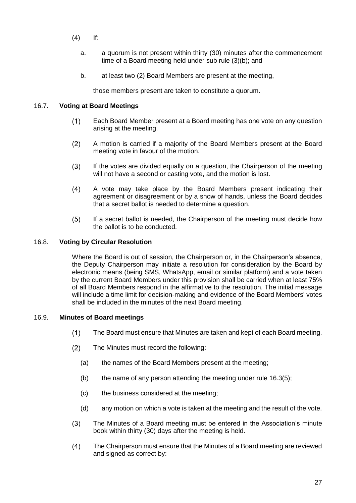- (4) If:
	- a. a quorum is not present within thirty (30) minutes after the commencement time of a Board meeting held under sub rule (3)(b); and
	- b. at least two (2) Board Members are present at the meeting,

those members present are taken to constitute a quorum.

# <span id="page-26-0"></span>16.7. **Voting at Board Meetings**

- $(1)$ Each Board Member present at a Board meeting has one vote on any question arising at the meeting.
- $(2)$ A motion is carried if a majority of the Board Members present at the Board meeting vote in favour of the motion.
- $(3)$ If the votes are divided equally on a question, the Chairperson of the meeting will not have a second or casting vote, and the motion is lost.
- $(4)$ A vote may take place by the Board Members present indicating their agreement or disagreement or by a show of hands, unless the Board decides that a secret ballot is needed to determine a question.
- $(5)$ If a secret ballot is needed, the Chairperson of the meeting must decide how the ballot is to be conducted.

# <span id="page-26-1"></span>16.8. **Voting by Circular Resolution**

Where the Board is out of session, the Chairperson or, in the Chairperson's absence, the Deputy Chairperson may initiate a resolution for consideration by the Board by electronic means (being SMS, WhatsApp, email or similar platform) and a vote taken by the current Board Members under this provision shall be carried when at least 75% of all Board Members respond in the affirmative to the resolution. The initial message will include a time limit for decision-making and evidence of the Board Members' votes shall be included in the minutes of the next Board meeting.

### <span id="page-26-2"></span>16.9. **Minutes of Board meetings**

- $(1)$ The Board must ensure that Minutes are taken and kept of each Board meeting.
- $(2)$ The Minutes must record the following:
	- (a) the names of the Board Members present at the meeting;
	- (b) the name of any person attending the meeting under rule  $16.3(5)$ ;
	- (c) the business considered at the meeting;
	- (d) any motion on which a vote is taken at the meeting and the result of the vote.
- The Minutes of a Board meeting must be entered in the Association's minute  $(3)$ book within thirty (30) days after the meeting is held.
- $(4)$ The Chairperson must ensure that the Minutes of a Board meeting are reviewed and signed as correct by: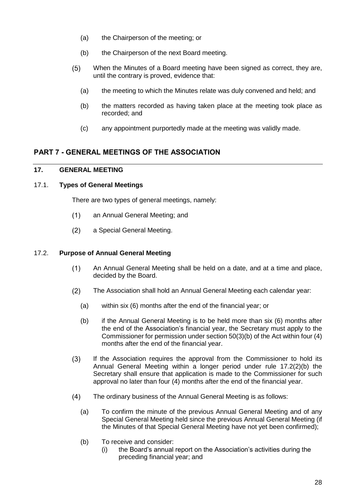- (a) the Chairperson of the meeting; or
- (b) the Chairperson of the next Board meeting.
- $(5)$ When the Minutes of a Board meeting have been signed as correct, they are, until the contrary is proved, evidence that:
	- (a) the meeting to which the Minutes relate was duly convened and held; and
	- (b) the matters recorded as having taken place at the meeting took place as recorded; and
	- (c) any appointment purportedly made at the meeting was validly made.

# <span id="page-27-0"></span>**PART 7 - GENERAL MEETINGS OF THE ASSOCIATION**

# <span id="page-27-1"></span>**17. GENERAL MEETING**

# <span id="page-27-2"></span>17.1. **Types of General Meetings**

There are two types of general meetings, namely:

- an Annual General Meeting; and  $(1)$
- $(2)$ a Special General Meeting.

# <span id="page-27-3"></span>17.2. **Purpose of Annual General Meeting**

- $(1)$ An Annual General Meeting shall be held on a date, and at a time and place, decided by the Board.
- $(2)$ The Association shall hold an Annual General Meeting each calendar year:
	- (a) within six (6) months after the end of the financial year; or
	- (b) if the Annual General Meeting is to be held more than six (6) months after the end of the Association's financial year, the Secretary must apply to the Commissioner for permission under section 50(3)(b) of the Act within four (4) months after the end of the financial year.
- $(3)$ If the Association requires the approval from the Commissioner to hold its Annual General Meeting within a longer period under rule 17.2(2)(b) the Secretary shall ensure that application is made to the Commissioner for such approval no later than four (4) months after the end of the financial year.
- $(4)$ The ordinary business of the Annual General Meeting is as follows:
	- (a) To confirm the minute of the previous Annual General Meeting and of any Special General Meeting held since the previous Annual General Meeting (if the Minutes of that Special General Meeting have not yet been confirmed);
	- (b) To receive and consider:
		- (i) the Board's annual report on the Association's activities during the preceding financial year; and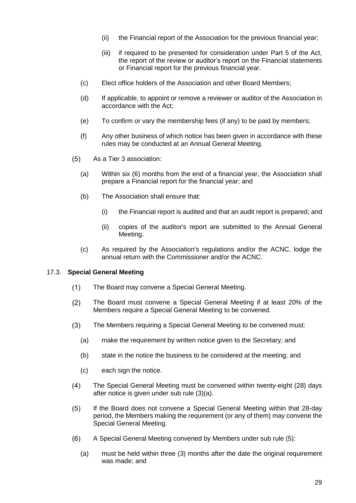- (ii) the Financial report of the Association for the previous financial year;
- (iii) if required to be presented for consideration under Part 5 of the Act, the report of the review or auditor's report on the Financial statements or Financial report for the previous financial year.
- (c) Elect office holders of the Association and other Board Members;
- (d) If applicable, to appoint or remove a reviewer or auditor of the Association in accordance with the Act;
- (e) To confirm or vary the membership fees (if any) to be paid by members;
- (f) Any other business of which notice has been given in accordance with these rules may be conducted at an Annual General Meeting.
- $(5)$ As a Tier 3 association:
	- (a) Within six (6) months from the end of a financial year, the Association shall prepare a Financial report for the financial year; and
	- (b) The Association shall ensure that:
		- (i) the Financial report is audited and that an audit report is prepared; and
		- (ii) copies of the auditor's report are submitted to the Annual General Meeting.
	- (c) As required by the Association's regulations and/or the ACNC, lodge the annual return with the Commissioner and/or the ACNC.

### <span id="page-28-0"></span>17.3. **Special General Meeting**

- $(1)$ The Board may convene a Special General Meeting.
- The Board must convene a Special General Meeting if at least 20% of the  $(2)$ Members require a Special General Meeting to be convened.
- $(3)$ The Members requiring a Special General Meeting to be convened must:
	- (a) make the requirement by written notice given to the Secretary; and
	- (b) state in the notice the business to be considered at the meeting; and
	- (c) each sign the notice.
- $(4)$ The Special General Meeting must be convened within twenty-eight (28) days after notice is given under sub rule (3)(a).
- $(5)$ If the Board does not convene a Special General Meeting within that 28-day period, the Members making the requirement (or any of them) may convene the Special General Meeting.
- $(6)$ A Special General Meeting convened by Members under sub rule (5):
	- (a) must be held within three (3) months after the date the original requirement was made; and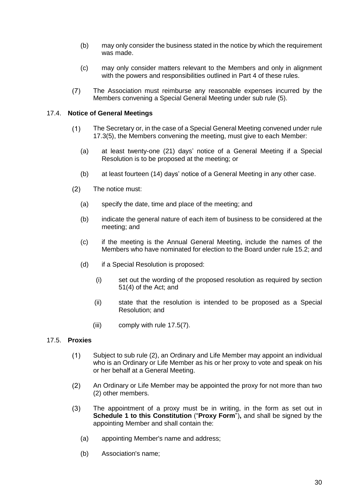- (b) may only consider the business stated in the notice by which the requirement was made.
- (c) may only consider matters relevant to the Members and only in alignment with the powers and responsibilities outlined in Part 4 of these rules.
- $(7)$ The Association must reimburse any reasonable expenses incurred by the Members convening a Special General Meeting under sub rule (5).

### <span id="page-29-0"></span>17.4. **Notice of General Meetings**

- $(1)$ The Secretary or, in the case of a Special General Meeting convened under rule 17.3(5), the Members convening the meeting, must give to each Member:
	- (a) at least twenty-one (21) days' notice of a General Meeting if a Special Resolution is to be proposed at the meeting; or
	- (b) at least fourteen (14) days' notice of a General Meeting in any other case.
- $(2)$ The notice must:
	- (a) specify the date, time and place of the meeting; and
	- (b) indicate the general nature of each item of business to be considered at the meeting; and
	- (c) if the meeting is the Annual General Meeting, include the names of the Members who have nominated for election to the Board under rule 15.2; and
	- (d) if a Special Resolution is proposed:
		- (i) set out the wording of the proposed resolution as required by section 51(4) of the Act; and
		- (ii) state that the resolution is intended to be proposed as a Special Resolution; and
		- (iii) comply with rule 17.5(7).

### <span id="page-29-1"></span>17.5. **Proxies**

- $(1)$ Subject to sub rule (2), an Ordinary and Life Member may appoint an individual who is an Ordinary or Life Member as his or her proxy to vote and speak on his or her behalf at a General Meeting.
- $(2)$ An Ordinary or Life Member may be appointed the proxy for not more than two (2) other members.
- $(3)$ The appointment of a proxy must be in writing, in the form as set out in **Schedule 1 to this Constitution** ("**Proxy Form**")**,** and shall be signed by the appointing Member and shall contain the:
	- (a) appointing Member's name and address;
	- (b) Association's name;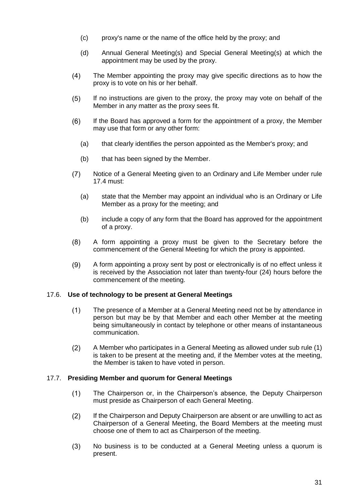- (c) proxy's name or the name of the office held by the proxy; and
- (d) Annual General Meeting(s) and Special General Meeting(s) at which the appointment may be used by the proxy.
- $(4)$ The Member appointing the proxy may give specific directions as to how the proxy is to vote on his or her behalf.
- $(5)$ If no instructions are given to the proxy, the proxy may vote on behalf of the Member in any matter as the proxy sees fit.
- $(6)$ If the Board has approved a form for the appointment of a proxy, the Member may use that form or any other form:
	- (a) that clearly identifies the person appointed as the Member's proxy; and
	- (b) that has been signed by the Member.
- $(7)$ Notice of a General Meeting given to an Ordinary and Life Member under rule 17.4 must:
	- (a) state that the Member may appoint an individual who is an Ordinary or Life Member as a proxy for the meeting; and
	- (b) include a copy of any form that the Board has approved for the appointment of a proxy.
- A form appointing a proxy must be given to the Secretary before the  $(8)$ commencement of the General Meeting for which the proxy is appointed.
- $(9)$ A form appointing a proxy sent by post or electronically is of no effect unless it is received by the Association not later than twenty-four (24) hours before the commencement of the meeting.

### <span id="page-30-0"></span>17.6. **Use of technology to be present at General Meetings**

- $(1)$ The presence of a Member at a General Meeting need not be by attendance in person but may be by that Member and each other Member at the meeting being simultaneously in contact by telephone or other means of instantaneous communication.
- $(2)$ A Member who participates in a General Meeting as allowed under sub rule (1) is taken to be present at the meeting and, if the Member votes at the meeting, the Member is taken to have voted in person.

### <span id="page-30-1"></span>17.7. **Presiding Member and quorum for General Meetings**

- $(1)$ The Chairperson or, in the Chairperson's absence, the Deputy Chairperson must preside as Chairperson of each General Meeting.
- $(2)$ If the Chairperson and Deputy Chairperson are absent or are unwilling to act as Chairperson of a General Meeting, the Board Members at the meeting must choose one of them to act as Chairperson of the meeting.
- $(3)$ No business is to be conducted at a General Meeting unless a quorum is present.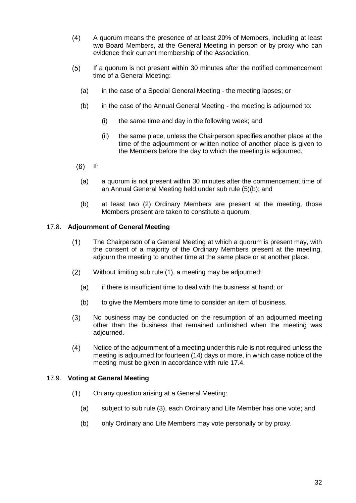- $(4)$ A quorum means the presence of at least 20% of Members, including at least two Board Members, at the General Meeting in person or by proxy who can evidence their current membership of the Association.
- $(5)$ If a quorum is not present within 30 minutes after the notified commencement time of a General Meeting:
	- (a) in the case of a Special General Meeting the meeting lapses; or
	- (b) in the case of the Annual General Meeting the meeting is adjourned to:
		- (i) the same time and day in the following week; and
		- (ii) the same place, unless the Chairperson specifies another place at the time of the adjournment or written notice of another place is given to the Members before the day to which the meeting is adjourned.
	- $(6)$  If:
		- (a) a quorum is not present within 30 minutes after the commencement time of an Annual General Meeting held under sub rule (5)(b); and
		- (b) at least two (2) Ordinary Members are present at the meeting, those Members present are taken to constitute a quorum.

### <span id="page-31-0"></span>17.8. **Adjournment of General Meeting**

- The Chairperson of a General Meeting at which a quorum is present may, with  $(1)$ the consent of a majority of the Ordinary Members present at the meeting, adjourn the meeting to another time at the same place or at another place.
- $(2)$ Without limiting sub rule (1), a meeting may be adjourned:
	- (a) if there is insufficient time to deal with the business at hand; or
	- (b) to give the Members more time to consider an item of business.
- $(3)$ No business may be conducted on the resumption of an adjourned meeting other than the business that remained unfinished when the meeting was adjourned.
- $(4)$ Notice of the adjournment of a meeting under this rule is not required unless the meeting is adjourned for fourteen (14) days or more, in which case notice of the meeting must be given in accordance with rule 17.4.

### <span id="page-31-1"></span>17.9. **Voting at General Meeting**

- $(1)$ On any question arising at a General Meeting:
	- (a) subject to sub rule (3), each Ordinary and Life Member has one vote; and
	- (b) only Ordinary and Life Members may vote personally or by proxy.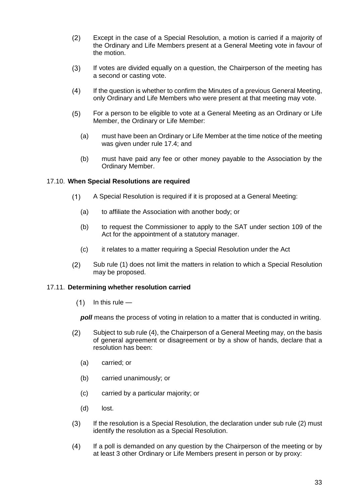- $(2)$ Except in the case of a Special Resolution, a motion is carried if a majority of the Ordinary and Life Members present at a General Meeting vote in favour of the motion.
- $(3)$ If votes are divided equally on a question, the Chairperson of the meeting has a second or casting vote.
- $(4)$ If the question is whether to confirm the Minutes of a previous General Meeting, only Ordinary and Life Members who were present at that meeting may vote.
- $(5)$ For a person to be eligible to vote at a General Meeting as an Ordinary or Life Member, the Ordinary or Life Member:
	- (a) must have been an Ordinary or Life Member at the time notice of the meeting was given under rule 17.4; and
	- (b) must have paid any fee or other money payable to the Association by the Ordinary Member.

### <span id="page-32-0"></span>17.10. **When Special Resolutions are required**

- $(1)$ A Special Resolution is required if it is proposed at a General Meeting:
	- (a) to affiliate the Association with another body; or
	- (b) to request the Commissioner to apply to the SAT under section 109 of the Act for the appointment of a statutory manager.
	- (c) it relates to a matter requiring a Special Resolution under the Act
- $(2)$ Sub rule (1) does not limit the matters in relation to which a Special Resolution may be proposed.

### <span id="page-32-1"></span>17.11. **Determining whether resolution carried**

 $(1)$ In this rule —

*poll* means the process of voting in relation to a matter that is conducted in writing.

- $(2)$ Subject to sub rule (4), the Chairperson of a General Meeting may, on the basis of general agreement or disagreement or by a show of hands, declare that a resolution has been:
	- (a) carried; or
	- (b) carried unanimously; or
	- (c) carried by a particular majority; or
	- (d) lost.
- If the resolution is a Special Resolution, the declaration under sub rule (2) must  $(3)$ identify the resolution as a Special Resolution.
- $(4)$ If a poll is demanded on any question by the Chairperson of the meeting or by at least 3 other Ordinary or Life Members present in person or by proxy: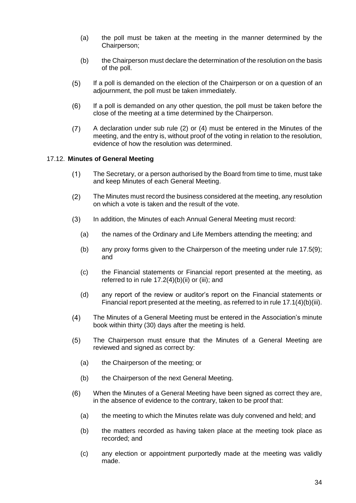- (a) the poll must be taken at the meeting in the manner determined by the Chairperson;
- (b) the Chairperson must declare the determination of the resolution on the basis of the poll.
- $(5)$ If a poll is demanded on the election of the Chairperson or on a question of an adjournment, the poll must be taken immediately.
- $(6)$ If a poll is demanded on any other question, the poll must be taken before the close of the meeting at a time determined by the Chairperson.
- $(7)$ A declaration under sub rule (2) or (4) must be entered in the Minutes of the meeting, and the entry is, without proof of the voting in relation to the resolution, evidence of how the resolution was determined.

### <span id="page-33-0"></span>17.12. **Minutes of General Meeting**

- $(1)$ The Secretary, or a person authorised by the Board from time to time, must take and keep Minutes of each General Meeting.
- $(2)$ The Minutes must record the business considered at the meeting, any resolution on which a vote is taken and the result of the vote.
- $(3)$ In addition, the Minutes of each Annual General Meeting must record:
	- (a) the names of the Ordinary and Life Members attending the meeting; and
	- (b) any proxy forms given to the Chairperson of the meeting under rule 17.5(9); and
	- (c) the Financial statements or Financial report presented at the meeting, as referred to in rule  $17.2(4)(b)(ii)$  or (iii); and
	- (d) any report of the review or auditor's report on the Financial statements or Financial report presented at the meeting, as referred to in rule 17.1(4)(b)(iii).
- $(4)$ The Minutes of a General Meeting must be entered in the Association's minute book within thirty (30) days after the meeting is held.
- The Chairperson must ensure that the Minutes of a General Meeting are  $(5)$ reviewed and signed as correct by:
	- (a) the Chairperson of the meeting; or
	- (b) the Chairperson of the next General Meeting.
- $(6)$ When the Minutes of a General Meeting have been signed as correct they are, in the absence of evidence to the contrary, taken to be proof that:
	- (a) the meeting to which the Minutes relate was duly convened and held; and
	- (b) the matters recorded as having taken place at the meeting took place as recorded; and
	- (c) any election or appointment purportedly made at the meeting was validly made.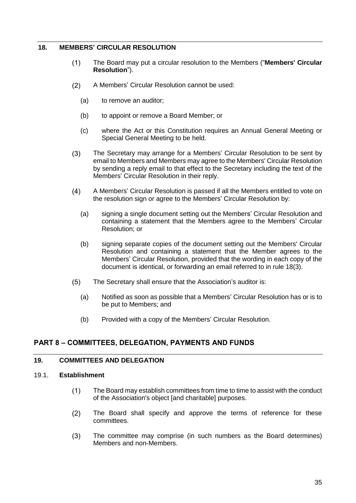### <span id="page-34-0"></span>**18. MEMBERS' CIRCULAR RESOLUTION**

- $(1)$ The Board may put a circular resolution to the Members ("**Members' Circular Resolution**").
- $(2)$ A Members' Circular Resolution cannot be used:
	- (a) to remove an auditor;
	- (b) to appoint or remove a Board Member; or
	- (c) where the Act or this Constitution requires an Annual General Meeting or Special General Meeting to be held.
- <span id="page-34-4"></span> $(3)$ The Secretary may arrange for a Members' Circular Resolution to be sent by email to Members and Members may agree to the Members' Circular Resolution by sending a reply email to that effect to the Secretary including the text of the Members' Circular Resolution in their reply.
- $(4)$ A Members' Circular Resolution is passed if all the Members entitled to vote on the resolution sign or agree to the Members' Circular Resolution by:
	- (a) signing a single document setting out the Members' Circular Resolution and containing a statement that the Members agree to the Members' Circular Resolution; or
	- (b) signing separate copies of the document setting out the Members' Circular Resolution and containing a statement that the Member agrees to the Members' Circular Resolution, provided that the wording in each copy of the document is identical, or forwarding an email referred to in rule [18\(3\).](#page-34-4)
- $(5)$ The Secretary shall ensure that the Association's auditor is:
	- (a) Notified as soon as possible that a Members' Circular Resolution has or is to be put to Members; and
	- (b) Provided with a copy of the Members' Circular Resolution.

# <span id="page-34-1"></span>**PART 8 – COMMITTEES, DELEGATION, PAYMENTS AND FUNDS**

# <span id="page-34-2"></span>**19. COMMITTEES AND DELEGATION**

### <span id="page-34-3"></span>19.1. **Establishment**

- $(1)$ The Board may establish committees from time to time to assist with the conduct of the Association's object [and charitable] purposes.
- The Board shall specify and approve the terms of reference for these  $(2)$ committees.
- $(3)$ The committee may comprise (in such numbers as the Board determines) Members and non-Members.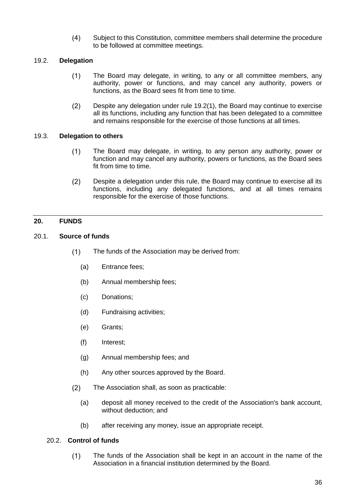$(4)$ Subject to this Constitution, committee members shall determine the procedure to be followed at committee meetings.

# <span id="page-35-5"></span><span id="page-35-0"></span>19.2. **Delegation**

- $(1)$ The Board may delegate, in writing, to any or all committee members, any authority, power or functions, and may cancel any authority, powers or functions, as the Board sees fit from time to time.
- $(2)$ Despite any delegation under rule [19.2\(1\),](#page-35-5) the Board may continue to exercise all its functions, including any function that has been delegated to a committee and remains responsible for the exercise of those functions at all times.

### <span id="page-35-1"></span>19.3. **Delegation to others**

- $(1)$ The Board may delegate, in writing, to any person any authority, power or function and may cancel any authority, powers or functions, as the Board sees fit from time to time.
- $(2)$ Despite a delegation under this rule, the Board may continue to exercise all its functions, including any delegated functions, and at all times remains responsible for the exercise of those functions.

# <span id="page-35-2"></span>**20. FUNDS**

### <span id="page-35-3"></span>20.1. **Source of funds**

- $(1)$ The funds of the Association may be derived from:
	- (a) Entrance fees;
	- (b) Annual membership fees;
	- (c) Donations;
	- (d) Fundraising activities;
	- (e) Grants;
	- (f) Interest;
	- (g) Annual membership fees; and
	- (h) Any other sources approved by the Board.
- $(2)$ The Association shall, as soon as practicable:
	- (a) deposit all money received to the credit of the Association's bank account, without deduction; and
	- (b) after receiving any money, issue an appropriate receipt.

### <span id="page-35-4"></span>20.2. **Control of funds**

 $(1)$ The funds of the Association shall be kept in an account in the name of the Association in a financial institution determined by the Board.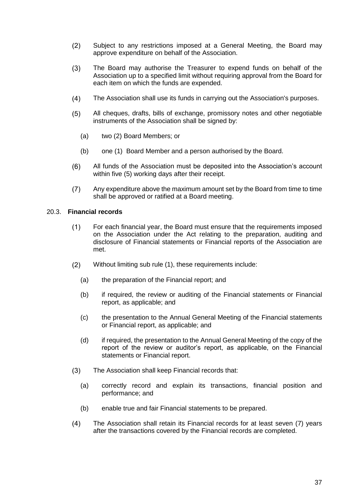- $(2)$ Subject to any restrictions imposed at a General Meeting, the Board may approve expenditure on behalf of the Association.
- $(3)$ The Board may authorise the Treasurer to expend funds on behalf of the Association up to a specified limit without requiring approval from the Board for each item on which the funds are expended.
- $(4)$ The Association shall use its funds in carrying out the Association's purposes.
- All cheques, drafts, bills of exchange, promissory notes and other negotiable  $(5)$ instruments of the Association shall be signed by:
	- (a) two (2) Board Members; or
	- (b) one (1) Board Member and a person authorised by the Board.
- $(6)$ All funds of the Association must be deposited into the Association's account within five (5) working days after their receipt.
- Any expenditure above the maximum amount set by the Board from time to time  $(7)$ shall be approved or ratified at a Board meeting.

### <span id="page-36-0"></span>20.3. **Financial records**

- $(1)$ For each financial year, the Board must ensure that the requirements imposed on the Association under the Act relating to the preparation, auditing and disclosure of Financial statements or Financial reports of the Association are met.
- $(2)$ Without limiting sub rule (1), these requirements include:
	- (a) the preparation of the Financial report; and
	- (b) if required, the review or auditing of the Financial statements or Financial report, as applicable; and
	- (c) the presentation to the Annual General Meeting of the Financial statements or Financial report, as applicable; and
	- (d) if required, the presentation to the Annual General Meeting of the copy of the report of the review or auditor's report, as applicable, on the Financial statements or Financial report.
- $(3)$ The Association shall keep Financial records that:
	- (a) correctly record and explain its transactions, financial position and performance; and
	- (b) enable true and fair Financial statements to be prepared.
- $(4)$ The Association shall retain its Financial records for at least seven (7) years after the transactions covered by the Financial records are completed.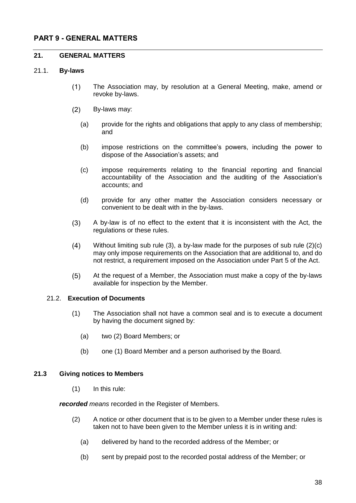# <span id="page-37-0"></span>**PART 9 - GENERAL MATTERS**

### <span id="page-37-1"></span>**21. GENERAL MATTERS**

### <span id="page-37-2"></span>21.1. **By-laws**

- The Association may, by resolution at a General Meeting, make, amend or  $(1)$ revoke by-laws.
- $(2)$ By-laws may:
	- (a) provide for the rights and obligations that apply to any class of membership; and
	- (b) impose restrictions on the committee's powers, including the power to dispose of the Association's assets; and
	- (c) impose requirements relating to the financial reporting and financial accountability of the Association and the auditing of the Association's accounts; and
	- (d) provide for any other matter the Association considers necessary or convenient to be dealt with in the by-laws.
- A by-law is of no effect to the extent that it is inconsistent with the Act, the  $(3)$ regulations or these rules.
- $(4)$ Without limiting sub rule (3), a by-law made for the purposes of sub rule (2)(c) may only impose requirements on the Association that are additional to, and do not restrict, a requirement imposed on the Association under Part 5 of the Act.
- At the request of a Member, the Association must make a copy of the by-laws  $(5)$ available for inspection by the Member.

### <span id="page-37-3"></span>21.2. **Execution of Documents**

- (1) The Association shall not have a common seal and is to execute a document by having the document signed by:
	- (a) two (2) Board Members; or
	- (b) one (1) Board Member and a person authorised by the Board.

### **21.3 Giving notices to Members**

<span id="page-37-4"></span>(1) In this rule:

*recorded means* recorded in the Register of Members.

- (2) A notice or other document that is to be given to a Member under these rules is taken not to have been given to the Member unless it is in writing and:
	- (a) delivered by hand to the recorded address of the Member; or
	- (b) sent by prepaid post to the recorded postal address of the Member; or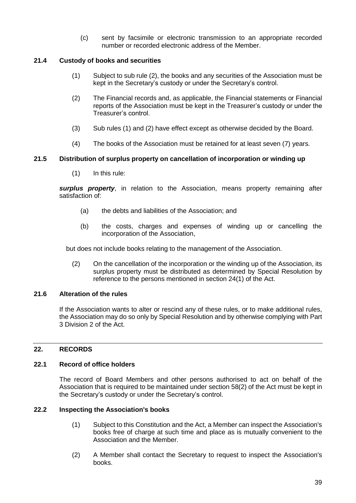(c) sent by facsimile or electronic transmission to an appropriate recorded number or recorded electronic address of the Member.

# <span id="page-38-0"></span>**21.4 Custody of books and securities**

- (1) Subject to sub rule (2), the books and any securities of the Association must be kept in the Secretary's custody or under the Secretary's control.
- (2) The Financial records and, as applicable, the Financial statements or Financial reports of the Association must be kept in the Treasurer's custody or under the Treasurer's control.
- (3) Sub rules (1) and (2) have effect except as otherwise decided by the Board.
- (4) The books of the Association must be retained for at least seven (7) years.

# <span id="page-38-1"></span>**21.5 Distribution of surplus property on cancellation of incorporation or winding up**

(1) In this rule:

*surplus property*, in relation to the Association, means property remaining after satisfaction of:

- (a) the debts and liabilities of the Association; and
- (b) the costs, charges and expenses of winding up or cancelling the incorporation of the Association,

but does not include books relating to the management of the Association.

(2) On the cancellation of the incorporation or the winding up of the Association, its surplus property must be distributed as determined by Special Resolution by reference to the persons mentioned in section 24(1) of the Act.

### <span id="page-38-2"></span>**21.6 Alteration of the rules**

If the Association wants to alter or rescind any of these rules, or to make additional rules, the Association may do so only by Special Resolution and by otherwise complying with Part 3 Division 2 of the Act.

# <span id="page-38-3"></span>**22. RECORDS**

### <span id="page-38-4"></span>**22.1 Record of office holders**

The record of Board Members and other persons authorised to act on behalf of the Association that is required to be maintained under section 58(2) of the Act must be kept in the Secretary's custody or under the Secretary's control.

### <span id="page-38-5"></span>**22.2 Inspecting the Association's books**

- (1) Subject to this Constitution and the Act, a Member can inspect the Association's books free of charge at such time and place as is mutually convenient to the Association and the Member.
- (2) A Member shall contact the Secretary to request to inspect the Association's books.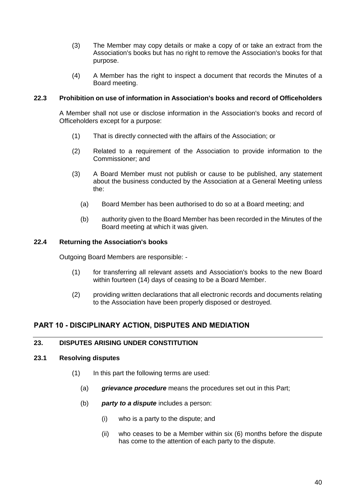- (3) The Member may copy details or make a copy of or take an extract from the Association's books but has no right to remove the Association's books for that purpose.
- (4) A Member has the right to inspect a document that records the Minutes of a Board meeting.

### <span id="page-39-0"></span>**22.3 Prohibition on use of information in Association's books and record of Officeholders**

A Member shall not use or disclose information in the Association's books and record of Officeholders except for a purpose:

- (1) That is directly connected with the affairs of the Association; or
- (2) Related to a requirement of the Association to provide information to the Commissioner; and
- (3) A Board Member must not publish or cause to be published, any statement about the business conducted by the Association at a General Meeting unless the:
	- (a) Board Member has been authorised to do so at a Board meeting; and
	- (b) authority given to the Board Member has been recorded in the Minutes of the Board meeting at which it was given.

# <span id="page-39-1"></span>**22.4 Returning the Association's books**

Outgoing Board Members are responsible: -

- (1) for transferring all relevant assets and Association's books to the new Board within fourteen (14) days of ceasing to be a Board Member.
- (2) providing written declarations that all electronic records and documents relating to the Association have been properly disposed or destroyed.

# <span id="page-39-2"></span>**PART 10 - DISCIPLINARY ACTION, DISPUTES AND MEDIATION**

# <span id="page-39-3"></span>**23. DISPUTES ARISING UNDER CONSTITUTION**

### <span id="page-39-4"></span>**23.1 Resolving disputes**

- (1) In this part the following terms are used:
	- (a) *grievance procedure* means the procedures set out in this Part;
	- (b) *party to a dispute* includes a person:
		- (i) who is a party to the dispute; and
		- (ii) who ceases to be a Member within six (6) months before the dispute has come to the attention of each party to the dispute.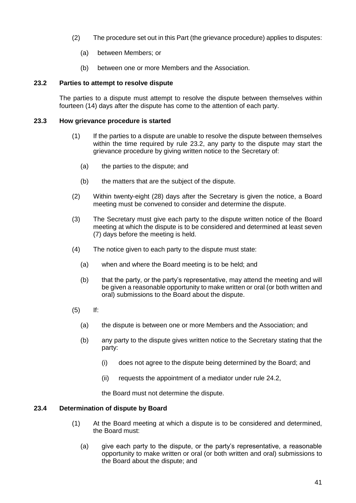- (2) The procedure set out in this Part (the grievance procedure) applies to disputes:
	- (a) between Members; or
	- (b) between one or more Members and the Association.

### <span id="page-40-0"></span>**23.2 Parties to attempt to resolve dispute**

The parties to a dispute must attempt to resolve the dispute between themselves within fourteen (14) days after the dispute has come to the attention of each party.

### <span id="page-40-1"></span>**23.3 How grievance procedure is started**

- (1) If the parties to a dispute are unable to resolve the dispute between themselves within the time required by rule 23.2, any party to the dispute may start the grievance procedure by giving written notice to the Secretary of:
	- (a) the parties to the dispute; and
	- (b) the matters that are the subject of the dispute.
- (2) Within twenty-eight (28) days after the Secretary is given the notice, a Board meeting must be convened to consider and determine the dispute.
- (3) The Secretary must give each party to the dispute written notice of the Board meeting at which the dispute is to be considered and determined at least seven (7) days before the meeting is held.
- (4) The notice given to each party to the dispute must state:
	- (a) when and where the Board meeting is to be held; and
	- (b) that the party, or the party's representative, may attend the meeting and will be given a reasonable opportunity to make written or oral (or both written and oral) submissions to the Board about the dispute.
- (5) If:
	- (a) the dispute is between one or more Members and the Association; and
	- (b) any party to the dispute gives written notice to the Secretary stating that the party:
		- (i) does not agree to the dispute being determined by the Board; and
		- (ii) requests the appointment of a mediator under rule 24.2,

the Board must not determine the dispute.

### <span id="page-40-2"></span>**23.4 Determination of dispute by Board**

- (1) At the Board meeting at which a dispute is to be considered and determined, the Board must:
	- (a) give each party to the dispute, or the party's representative, a reasonable opportunity to make written or oral (or both written and oral) submissions to the Board about the dispute; and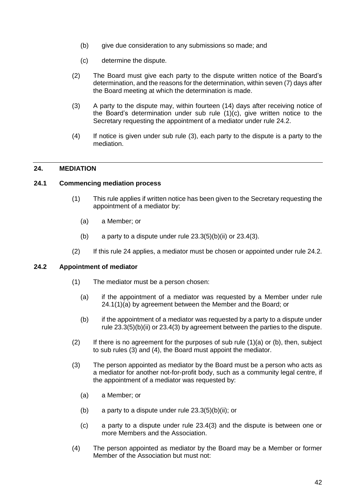- (b) give due consideration to any submissions so made; and
- (c) determine the dispute.
- (2) The Board must give each party to the dispute written notice of the Board's determination, and the reasons for the determination, within seven (7) days after the Board meeting at which the determination is made.
- (3) A party to the dispute may, within fourteen (14) days after receiving notice of the Board's determination under sub rule (1)(c), give written notice to the Secretary requesting the appointment of a mediator under rule 24.2.
- (4) If notice is given under sub rule (3), each party to the dispute is a party to the mediation.

### <span id="page-41-0"></span>**24. MEDIATION**

### <span id="page-41-1"></span>**24.1 Commencing mediation process**

- (1) This rule applies if written notice has been given to the Secretary requesting the appointment of a mediator by:
	- (a) a Member; or
	- (b) a party to a dispute under rule  $23.3(5)(b)(ii)$  or  $23.4(3)$ .
- (2) If this rule 24 applies, a mediator must be chosen or appointed under rule 24.2.

### <span id="page-41-2"></span>**24.2 Appointment of mediator**

- (1) The mediator must be a person chosen:
	- (a) if the appointment of a mediator was requested by a Member under rule 24.1(1)(a) by agreement between the Member and the Board; or
	- (b) if the appointment of a mediator was requested by a party to a dispute under rule 23.3(5)(b)(ii) or 23.4(3) by agreement between the parties to the dispute.
- $(2)$  If there is no agreement for the purposes of sub rule  $(1)(a)$  or  $(b)$ , then, subject to sub rules (3) and (4), the Board must appoint the mediator.
- (3) The person appointed as mediator by the Board must be a person who acts as a mediator for another not-for-profit body, such as a community legal centre, if the appointment of a mediator was requested by:
	- (a) a Member; or
	- (b) a party to a dispute under rule  $23.3(5)(b)(ii)$ ; or
	- (c) a party to a dispute under rule 23.4(3) and the dispute is between one or more Members and the Association.
- (4) The person appointed as mediator by the Board may be a Member or former Member of the Association but must not: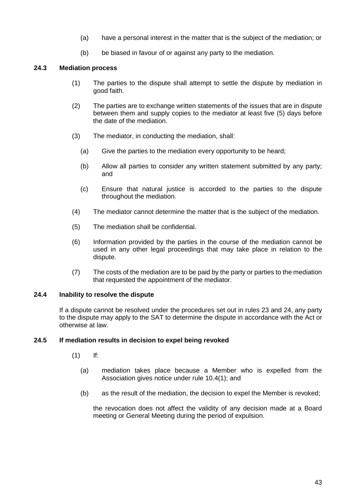- (a) have a personal interest in the matter that is the subject of the mediation; or
- (b) be biased in favour of or against any party to the mediation.

# <span id="page-42-0"></span>**24.3 Mediation process**

- (1) The parties to the dispute shall attempt to settle the dispute by mediation in good faith.
- (2) The parties are to exchange written statements of the issues that are in dispute between them and supply copies to the mediator at least five (5) days before the date of the mediation.
- (3) The mediator, in conducting the mediation, shall:
	- (a) Give the parties to the mediation every opportunity to be heard;
	- (b) Allow all parties to consider any written statement submitted by any party; and
	- (c) Ensure that natural justice is accorded to the parties to the dispute throughout the mediation.
- (4) The mediator cannot determine the matter that is the subject of the mediation.
- (5) The mediation shall be confidential.
- (6) Information provided by the parties in the course of the mediation cannot be used in any other legal proceedings that may take place in relation to the dispute.
- (7) The costs of the mediation are to be paid by the party or parties to the mediation that requested the appointment of the mediator.

# <span id="page-42-1"></span>**24.4 Inability to resolve the dispute**

If a dispute cannot be resolved under the procedures set out in rules [23](#page-39-3) and [24,](#page-41-0) any party to the dispute may apply to the SAT to determine the dispute in accordance with the Act or otherwise at law.

### <span id="page-42-2"></span>**24.5 If mediation results in decision to expel being revoked**

- (1) If:
	- (a) mediation takes place because a Member who is expelled from the Association gives notice under rule 10.4(1); and
	- (b) as the result of the mediation, the decision to expel the Member is revoked;

the revocation does not affect the validity of any decision made at a Board meeting or General Meeting during the period of expulsion.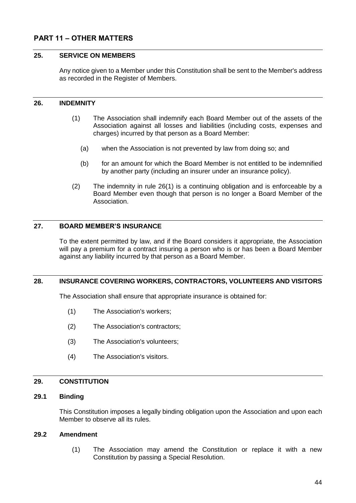# <span id="page-43-0"></span>**PART 11 – OTHER MATTERS**

### <span id="page-43-1"></span>**25. SERVICE ON MEMBERS**

Any notice given to a Member under this Constitution shall be sent to the Member's address as recorded in the Register of Members.

### <span id="page-43-8"></span><span id="page-43-2"></span>**26. INDEMNITY**

- (1) The Association shall indemnify each Board Member out of the assets of the Association against all losses and liabilities (including costs, expenses and charges) incurred by that person as a Board Member:
	- (a) when the Association is not prevented by law from doing so; and
	- (b) for an amount for which the Board Member is not entitled to be indemnified by another party (including an insurer under an insurance policy).
- (2) The indemnity in rule [26\(1\)](#page-43-8) is a continuing obligation and is enforceable by a Board Member even though that person is no longer a Board Member of the Association.

### <span id="page-43-3"></span>**27. BOARD MEMBER'S INSURANCE**

To the extent permitted by law, and if the Board considers it appropriate, the Association will pay a premium for a contract insuring a person who is or has been a Board Member against any liability incurred by that person as a Board Member.

### <span id="page-43-4"></span>**28. INSURANCE COVERING WORKERS, CONTRACTORS, VOLUNTEERS AND VISITORS**

The Association shall ensure that appropriate insurance is obtained for:

- (1) The Association's workers;
- (2) The Association's contractors;
- (3) The Association's volunteers;
- (4) The Association's visitors.

### <span id="page-43-5"></span>**29. CONSTITUTION**

# <span id="page-43-6"></span>**29.1 Binding**

This Constitution imposes a legally binding obligation upon the Association and upon each Member to observe all its rules.

### <span id="page-43-7"></span>**29.2 Amendment**

(1) The Association may amend the Constitution or replace it with a new Constitution by passing a Special Resolution.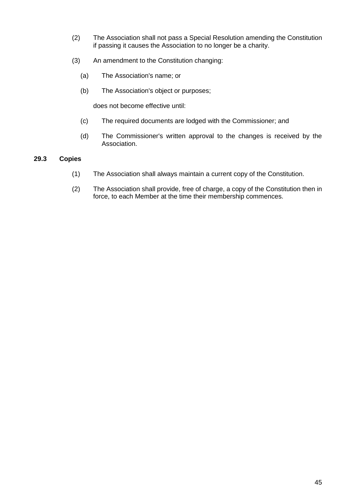- (2) The Association shall not pass a Special Resolution amending the Constitution if passing it causes the Association to no longer be a charity.
- (3) An amendment to the Constitution changing:
	- (a) The Association's name; or
	- (b) The Association's object or purposes;

does not become effective until:

- (c) The required documents are lodged with the Commissioner; and
- (d) The Commissioner's written approval to the changes is received by the Association.

### <span id="page-44-0"></span>**29.3 Copies**

- (1) The Association shall always maintain a current copy of the Constitution.
- (2) The Association shall provide, free of charge, a copy of the Constitution then in force, to each Member at the time their membership commences.